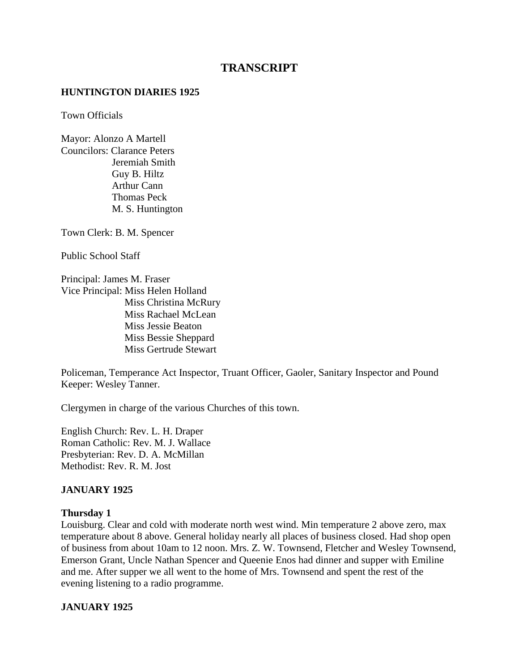# **TRANSCRIPT**

#### **HUNTINGTON DIARIES 1925**

Town Officials

Mayor: Alonzo A Martell Councilors: Clarance Peters Jeremiah Smith Guy B. Hiltz Arthur Cann Thomas Peck M. S. Huntington

Town Clerk: B. M. Spencer

Public School Staff

Principal: James M. Fraser Vice Principal: Miss Helen Holland Miss Christina McRury Miss Rachael McLean Miss Jessie Beaton Miss Bessie Sheppard Miss Gertrude Stewart

Policeman, Temperance Act Inspector, Truant Officer, Gaoler, Sanitary Inspector and Pound Keeper: Wesley Tanner.

Clergymen in charge of the various Churches of this town.

English Church: Rev. L. H. Draper Roman Catholic: Rev. M. J. Wallace Presbyterian: Rev. D. A. McMillan Methodist: Rev. R. M. Jost

### **JANUARY 1925**

#### **Thursday 1**

Louisburg. Clear and cold with moderate north west wind. Min temperature 2 above zero, max temperature about 8 above. General holiday nearly all places of business closed. Had shop open of business from about 10am to 12 noon. Mrs. Z. W. Townsend, Fletcher and Wesley Townsend, Emerson Grant, Uncle Nathan Spencer and Queenie Enos had dinner and supper with Emiline and me. After supper we all went to the home of Mrs. Townsend and spent the rest of the evening listening to a radio programme.

### **JANUARY 1925**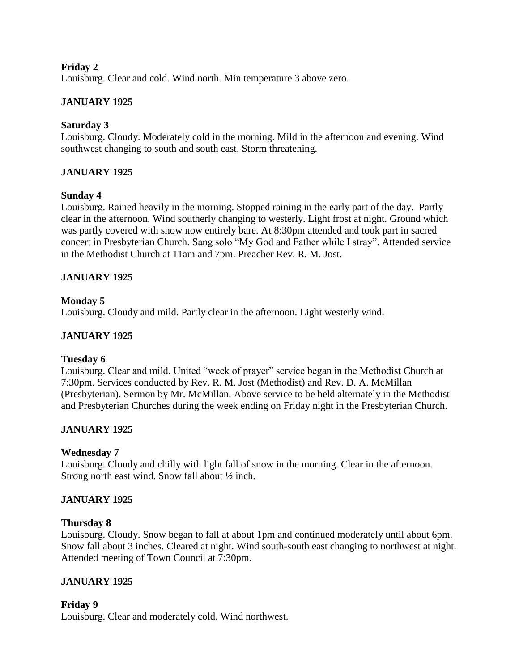### **Friday 2**

Louisburg. Clear and cold. Wind north. Min temperature 3 above zero.

# **JANUARY 1925**

### **Saturday 3**

Louisburg. Cloudy. Moderately cold in the morning. Mild in the afternoon and evening. Wind southwest changing to south and south east. Storm threatening.

### **JANUARY 1925**

### **Sunday 4**

Louisburg. Rained heavily in the morning. Stopped raining in the early part of the day. Partly clear in the afternoon. Wind southerly changing to westerly. Light frost at night. Ground which was partly covered with snow now entirely bare. At 8:30pm attended and took part in sacred concert in Presbyterian Church. Sang solo "My God and Father while I stray". Attended service in the Methodist Church at 11am and 7pm. Preacher Rev. R. M. Jost.

### **JANUARY 1925**

### **Monday 5**

Louisburg. Cloudy and mild. Partly clear in the afternoon. Light westerly wind.

### **JANUARY 1925**

### **Tuesday 6**

Louisburg. Clear and mild. United "week of prayer" service began in the Methodist Church at 7:30pm. Services conducted by Rev. R. M. Jost (Methodist) and Rev. D. A. McMillan (Presbyterian). Sermon by Mr. McMillan. Above service to be held alternately in the Methodist and Presbyterian Churches during the week ending on Friday night in the Presbyterian Church.

# **JANUARY 1925**

### **Wednesday 7**

Louisburg. Cloudy and chilly with light fall of snow in the morning. Clear in the afternoon. Strong north east wind. Snow fall about ½ inch.

### **JANUARY 1925**

### **Thursday 8**

Louisburg. Cloudy. Snow began to fall at about 1pm and continued moderately until about 6pm. Snow fall about 3 inches. Cleared at night. Wind south-south east changing to northwest at night. Attended meeting of Town Council at 7:30pm.

# **JANUARY 1925**

### **Friday 9**

Louisburg. Clear and moderately cold. Wind northwest.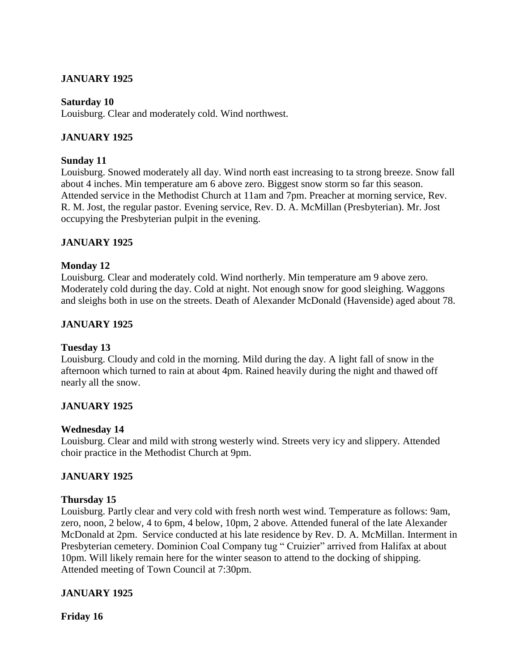# **JANUARY 1925**

### **Saturday 10**

Louisburg. Clear and moderately cold. Wind northwest.

### **JANUARY 1925**

### **Sunday 11**

Louisburg. Snowed moderately all day. Wind north east increasing to ta strong breeze. Snow fall about 4 inches. Min temperature am 6 above zero. Biggest snow storm so far this season. Attended service in the Methodist Church at 11am and 7pm. Preacher at morning service, Rev. R. M. Jost, the regular pastor. Evening service, Rev. D. A. McMillan (Presbyterian). Mr. Jost occupying the Presbyterian pulpit in the evening.

### **JANUARY 1925**

### **Monday 12**

Louisburg. Clear and moderately cold. Wind northerly. Min temperature am 9 above zero. Moderately cold during the day. Cold at night. Not enough snow for good sleighing. Waggons and sleighs both in use on the streets. Death of Alexander McDonald (Havenside) aged about 78.

### **JANUARY 1925**

### **Tuesday 13**

Louisburg. Cloudy and cold in the morning. Mild during the day. A light fall of snow in the afternoon which turned to rain at about 4pm. Rained heavily during the night and thawed off nearly all the snow.

# **JANUARY 1925**

### **Wednesday 14**

Louisburg. Clear and mild with strong westerly wind. Streets very icy and slippery. Attended choir practice in the Methodist Church at 9pm.

### **JANUARY 1925**

### **Thursday 15**

Louisburg. Partly clear and very cold with fresh north west wind. Temperature as follows: 9am, zero, noon, 2 below, 4 to 6pm, 4 below, 10pm, 2 above. Attended funeral of the late Alexander McDonald at 2pm. Service conducted at his late residence by Rev. D. A. McMillan. Interment in Presbyterian cemetery. Dominion Coal Company tug " Cruizier" arrived from Halifax at about 10pm. Will likely remain here for the winter season to attend to the docking of shipping. Attended meeting of Town Council at 7:30pm.

### **JANUARY 1925**

**Friday 16**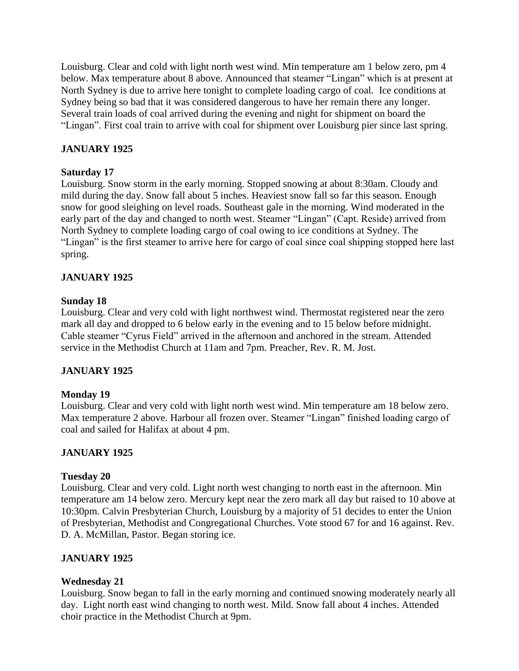Louisburg. Clear and cold with light north west wind. Min temperature am 1 below zero, pm 4 below. Max temperature about 8 above. Announced that steamer "Lingan" which is at present at North Sydney is due to arrive here tonight to complete loading cargo of coal. Ice conditions at Sydney being so bad that it was considered dangerous to have her remain there any longer. Several train loads of coal arrived during the evening and night for shipment on board the "Lingan". First coal train to arrive with coal for shipment over Louisburg pier since last spring.

# **JANUARY 1925**

### **Saturday 17**

Louisburg. Snow storm in the early morning. Stopped snowing at about 8:30am. Cloudy and mild during the day. Snow fall about 5 inches. Heaviest snow fall so far this season. Enough snow for good sleighing on level roads. Southeast gale in the morning. Wind moderated in the early part of the day and changed to north west. Steamer "Lingan" (Capt. Reside) arrived from North Sydney to complete loading cargo of coal owing to ice conditions at Sydney. The "Lingan" is the first steamer to arrive here for cargo of coal since coal shipping stopped here last spring.

# **JANUARY 1925**

# **Sunday 18**

Louisburg. Clear and very cold with light northwest wind. Thermostat registered near the zero mark all day and dropped to 6 below early in the evening and to 15 below before midnight. Cable steamer "Cyrus Field" arrived in the afternoon and anchored in the stream. Attended service in the Methodist Church at 11am and 7pm. Preacher, Rev. R. M. Jost.

# **JANUARY 1925**

# **Monday 19**

Louisburg. Clear and very cold with light north west wind. Min temperature am 18 below zero. Max temperature 2 above. Harbour all frozen over. Steamer "Lingan" finished loading cargo of coal and sailed for Halifax at about 4 pm.

# **JANUARY 1925**

### **Tuesday 20**

Louisburg. Clear and very cold. Light north west changing to north east in the afternoon. Min temperature am 14 below zero. Mercury kept near the zero mark all day but raised to 10 above at 10:30pm. Calvin Presbyterian Church, Louisburg by a majority of 51 decides to enter the Union of Presbyterian, Methodist and Congregational Churches. Vote stood 67 for and 16 against. Rev. D. A. McMillan, Pastor. Began storing ice.

# **JANUARY 1925**

# **Wednesday 21**

Louisburg. Snow began to fall in the early morning and continued snowing moderately nearly all day. Light north east wind changing to north west. Mild. Snow fall about 4 inches. Attended choir practice in the Methodist Church at 9pm.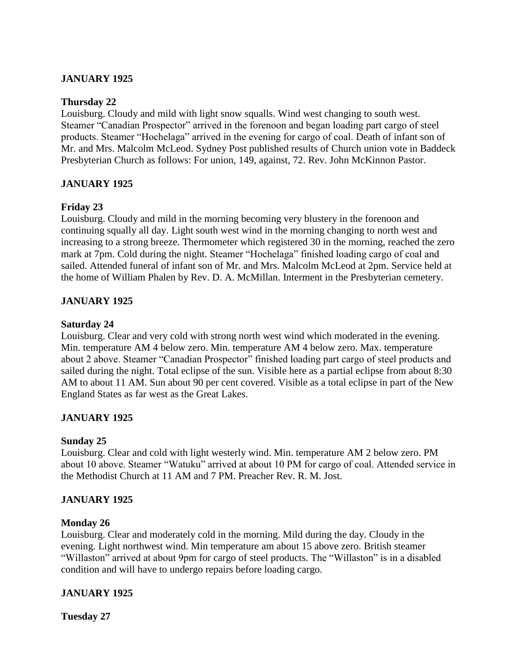# **JANUARY 1925**

#### **Thursday 22**

Louisburg. Cloudy and mild with light snow squalls. Wind west changing to south west. Steamer "Canadian Prospector" arrived in the forenoon and began loading part cargo of steel products. Steamer "Hochelaga" arrived in the evening for cargo of coal. Death of infant son of Mr. and Mrs. Malcolm McLeod. Sydney Post published results of Church union vote in Baddeck Presbyterian Church as follows: For union, 149, against, 72. Rev. John McKinnon Pastor.

### **JANUARY 1925**

### **Friday 23**

Louisburg. Cloudy and mild in the morning becoming very blustery in the forenoon and continuing squally all day. Light south west wind in the morning changing to north west and increasing to a strong breeze. Thermometer which registered 30 in the morning, reached the zero mark at 7pm. Cold during the night. Steamer "Hochelaga" finished loading cargo of coal and sailed. Attended funeral of infant son of Mr. and Mrs. Malcolm McLeod at 2pm. Service held at the home of William Phalen by Rev. D. A. McMillan. Interment in the Presbyterian cemetery.

### **JANUARY 1925**

#### **Saturday 24**

Louisburg. Clear and very cold with strong north west wind which moderated in the evening. Min. temperature AM 4 below zero. Min. temperature AM 4 below zero. Max. temperature about 2 above. Steamer "Canadian Prospector" finished loading part cargo of steel products and sailed during the night. Total eclipse of the sun. Visible here as a partial eclipse from about 8:30 AM to about 11 AM. Sun about 90 per cent covered. Visible as a total eclipse in part of the New England States as far west as the Great Lakes.

### **JANUARY 1925**

### **Sunday 25**

Louisburg. Clear and cold with light westerly wind. Min. temperature AM 2 below zero. PM about 10 above. Steamer "Watuku" arrived at about 10 PM for cargo of coal. Attended service in the Methodist Church at 11 AM and 7 PM. Preacher Rev. R. M. Jost.

### **JANUARY 1925**

### **Monday 26**

Louisburg. Clear and moderately cold in the morning. Mild during the day. Cloudy in the evening. Light northwest wind. Min temperature am about 15 above zero. British steamer "Willaston" arrived at about 9pm for cargo of steel products. The "Willaston" is in a disabled condition and will have to undergo repairs before loading cargo.

### **JANUARY 1925**

**Tuesday 27**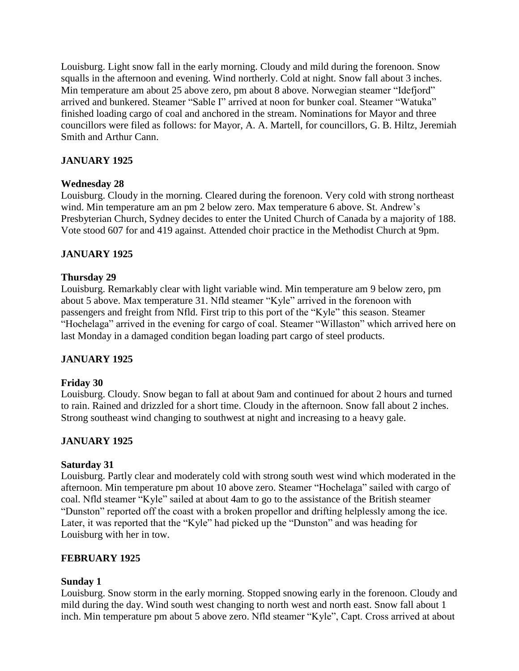Louisburg. Light snow fall in the early morning. Cloudy and mild during the forenoon. Snow squalls in the afternoon and evening. Wind northerly. Cold at night. Snow fall about 3 inches. Min temperature am about 25 above zero, pm about 8 above. Norwegian steamer "Idefjord" arrived and bunkered. Steamer "Sable I" arrived at noon for bunker coal. Steamer "Watuka" finished loading cargo of coal and anchored in the stream. Nominations for Mayor and three councillors were filed as follows: for Mayor, A. A. Martell, for councillors, G. B. Hiltz, Jeremiah Smith and Arthur Cann.

# **JANUARY 1925**

### **Wednesday 28**

Louisburg. Cloudy in the morning. Cleared during the forenoon. Very cold with strong northeast wind. Min temperature am an pm 2 below zero. Max temperature 6 above. St. Andrew's Presbyterian Church, Sydney decides to enter the United Church of Canada by a majority of 188. Vote stood 607 for and 419 against. Attended choir practice in the Methodist Church at 9pm.

# **JANUARY 1925**

### **Thursday 29**

Louisburg. Remarkably clear with light variable wind. Min temperature am 9 below zero, pm about 5 above. Max temperature 31. Nfld steamer "Kyle" arrived in the forenoon with passengers and freight from Nfld. First trip to this port of the "Kyle" this season. Steamer "Hochelaga" arrived in the evening for cargo of coal. Steamer "Willaston" which arrived here on last Monday in a damaged condition began loading part cargo of steel products.

# **JANUARY 1925**

### **Friday 30**

Louisburg. Cloudy. Snow began to fall at about 9am and continued for about 2 hours and turned to rain. Rained and drizzled for a short time. Cloudy in the afternoon. Snow fall about 2 inches. Strong southeast wind changing to southwest at night and increasing to a heavy gale.

# **JANUARY 1925**

### **Saturday 31**

Louisburg. Partly clear and moderately cold with strong south west wind which moderated in the afternoon. Min temperature pm about 10 above zero. Steamer "Hochelaga" sailed with cargo of coal. Nfld steamer "Kyle" sailed at about 4am to go to the assistance of the British steamer "Dunston" reported off the coast with a broken propellor and drifting helplessly among the ice. Later, it was reported that the "Kyle" had picked up the "Dunston" and was heading for Louisburg with her in tow.

### **FEBRUARY 1925**

### **Sunday 1**

Louisburg. Snow storm in the early morning. Stopped snowing early in the forenoon. Cloudy and mild during the day. Wind south west changing to north west and north east. Snow fall about 1 inch. Min temperature pm about 5 above zero. Nfld steamer "Kyle", Capt. Cross arrived at about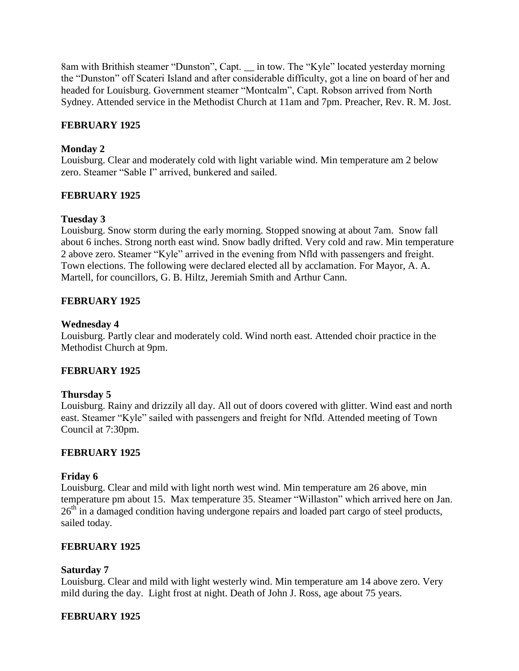8am with Brithish steamer "Dunston", Capt. \_\_ in tow. The "Kyle" located yesterday morning the "Dunston" off Scateri Island and after considerable difficulty, got a line on board of her and headed for Louisburg. Government steamer "Montcalm", Capt. Robson arrived from North Sydney. Attended service in the Methodist Church at 11am and 7pm. Preacher, Rev. R. M. Jost.

### **FEBRUARY 1925**

### **Monday 2**

Louisburg. Clear and moderately cold with light variable wind. Min temperature am 2 below zero. Steamer "Sable I" arrived, bunkered and sailed.

### **FEBRUARY 1925**

### **Tuesday 3**

Louisburg. Snow storm during the early morning. Stopped snowing at about 7am. Snow fall about 6 inches. Strong north east wind. Snow badly drifted. Very cold and raw. Min temperature 2 above zero. Steamer "Kyle" arrived in the evening from Nfld with passengers and freight. Town elections. The following were declared elected all by acclamation. For Mayor, A. A. Martell, for councillors, G. B. Hiltz, Jeremiah Smith and Arthur Cann.

### **FEBRUARY 1925**

#### **Wednesday 4**

Louisburg. Partly clear and moderately cold. Wind north east. Attended choir practice in the Methodist Church at 9pm.

### **FEBRUARY 1925**

### **Thursday 5**

Louisburg. Rainy and drizzily all day. All out of doors covered with glitter. Wind east and north east. Steamer "Kyle" sailed with passengers and freight for Nfld. Attended meeting of Town Council at 7:30pm.

### **FEBRUARY 1925**

### **Friday 6**

Louisburg. Clear and mild with light north west wind. Min temperature am 26 above, min temperature pm about 15. Max temperature 35. Steamer "Willaston" which arrived here on Jan. 26<sup>th</sup> in a damaged condition having undergone repairs and loaded part cargo of steel products, sailed today.

### **FEBRUARY 1925**

### **Saturday 7**

Louisburg. Clear and mild with light westerly wind. Min temperature am 14 above zero. Very mild during the day. Light frost at night. Death of John J. Ross, age about 75 years.

### **FEBRUARY 1925**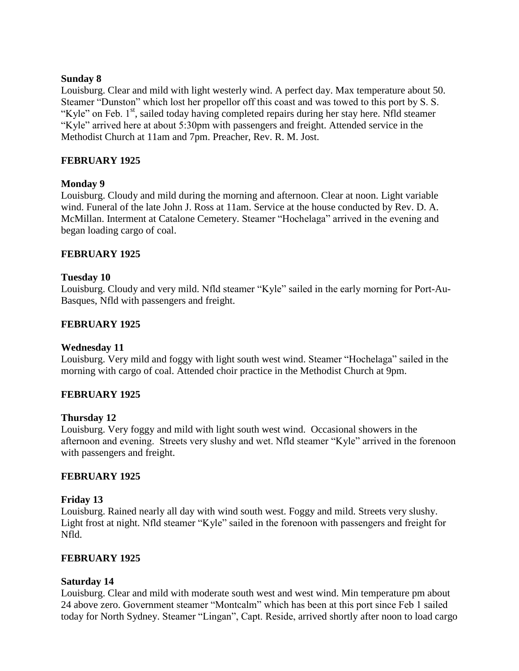### **Sunday 8**

Louisburg. Clear and mild with light westerly wind. A perfect day. Max temperature about 50. Steamer "Dunston" which lost her propellor off this coast and was towed to this port by S. S. "Kyle" on Feb.  $1<sup>st</sup>$ , sailed today having completed repairs during her stay here. Nfld steamer "Kyle" arrived here at about 5:30pm with passengers and freight. Attended service in the Methodist Church at 11am and 7pm. Preacher, Rev. R. M. Jost.

# **FEBRUARY 1925**

# **Monday 9**

Louisburg. Cloudy and mild during the morning and afternoon. Clear at noon. Light variable wind. Funeral of the late John J. Ross at 11am. Service at the house conducted by Rev. D. A. McMillan. Interment at Catalone Cemetery. Steamer "Hochelaga" arrived in the evening and began loading cargo of coal.

# **FEBRUARY 1925**

### **Tuesday 10**

Louisburg. Cloudy and very mild. Nfld steamer "Kyle" sailed in the early morning for Port-Au-Basques, Nfld with passengers and freight.

### **FEBRUARY 1925**

### **Wednesday 11**

Louisburg. Very mild and foggy with light south west wind. Steamer "Hochelaga" sailed in the morning with cargo of coal. Attended choir practice in the Methodist Church at 9pm.

# **FEBRUARY 1925**

### **Thursday 12**

Louisburg. Very foggy and mild with light south west wind. Occasional showers in the afternoon and evening. Streets very slushy and wet. Nfld steamer "Kyle" arrived in the forenoon with passengers and freight.

### **FEBRUARY 1925**

# **Friday 13**

Louisburg. Rained nearly all day with wind south west. Foggy and mild. Streets very slushy. Light frost at night. Nfld steamer "Kyle" sailed in the forenoon with passengers and freight for Nfld.

### **FEBRUARY 1925**

### **Saturday 14**

Louisburg. Clear and mild with moderate south west and west wind. Min temperature pm about 24 above zero. Government steamer "Montcalm" which has been at this port since Feb 1 sailed today for North Sydney. Steamer "Lingan", Capt. Reside, arrived shortly after noon to load cargo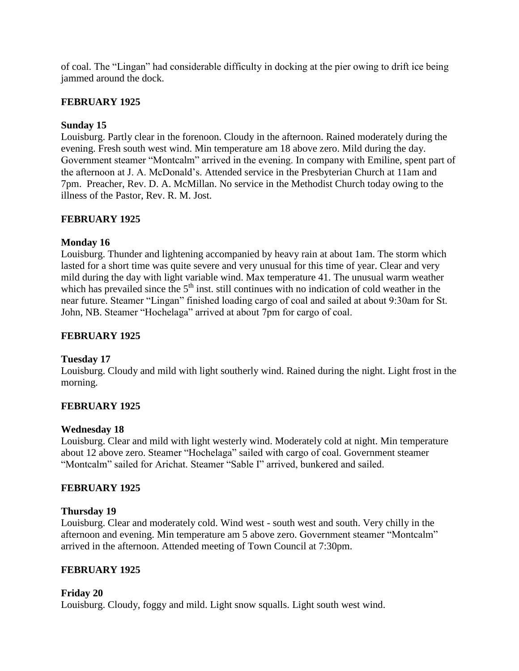of coal. The "Lingan" had considerable difficulty in docking at the pier owing to drift ice being jammed around the dock.

### **FEBRUARY 1925**

### **Sunday 15**

Louisburg. Partly clear in the forenoon. Cloudy in the afternoon. Rained moderately during the evening. Fresh south west wind. Min temperature am 18 above zero. Mild during the day. Government steamer "Montcalm" arrived in the evening. In company with Emiline, spent part of the afternoon at J. A. McDonald's. Attended service in the Presbyterian Church at 11am and 7pm. Preacher, Rev. D. A. McMillan. No service in the Methodist Church today owing to the illness of the Pastor, Rev. R. M. Jost.

# **FEBRUARY 1925**

### **Monday 16**

Louisburg. Thunder and lightening accompanied by heavy rain at about 1am. The storm which lasted for a short time was quite severe and very unusual for this time of year. Clear and very mild during the day with light variable wind. Max temperature 41. The unusual warm weather which has prevailed since the  $5<sup>th</sup>$  inst. still continues with no indication of cold weather in the near future. Steamer "Lingan" finished loading cargo of coal and sailed at about 9:30am for St. John, NB. Steamer "Hochelaga" arrived at about 7pm for cargo of coal.

# **FEBRUARY 1925**

# **Tuesday 17**

Louisburg. Cloudy and mild with light southerly wind. Rained during the night. Light frost in the morning.

# **FEBRUARY 1925**

### **Wednesday 18**

Louisburg. Clear and mild with light westerly wind. Moderately cold at night. Min temperature about 12 above zero. Steamer "Hochelaga" sailed with cargo of coal. Government steamer "Montcalm" sailed for Arichat. Steamer "Sable I" arrived, bunkered and sailed.

### **FEBRUARY 1925**

### **Thursday 19**

Louisburg. Clear and moderately cold. Wind west - south west and south. Very chilly in the afternoon and evening. Min temperature am 5 above zero. Government steamer "Montcalm" arrived in the afternoon. Attended meeting of Town Council at 7:30pm.

### **FEBRUARY 1925**

### **Friday 20**

Louisburg. Cloudy, foggy and mild. Light snow squalls. Light south west wind.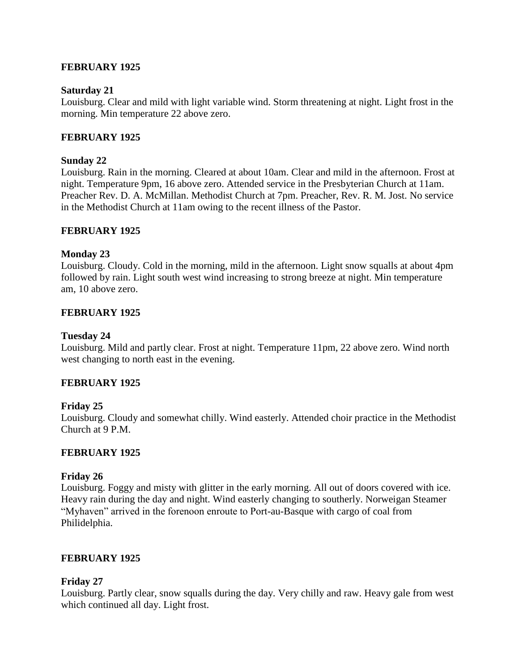### **FEBRUARY 1925**

#### **Saturday 21**

Louisburg. Clear and mild with light variable wind. Storm threatening at night. Light frost in the morning. Min temperature 22 above zero.

### **FEBRUARY 1925**

### **Sunday 22**

Louisburg. Rain in the morning. Cleared at about 10am. Clear and mild in the afternoon. Frost at night. Temperature 9pm, 16 above zero. Attended service in the Presbyterian Church at 11am. Preacher Rev. D. A. McMillan. Methodist Church at 7pm. Preacher, Rev. R. M. Jost. No service in the Methodist Church at 11am owing to the recent illness of the Pastor.

### **FEBRUARY 1925**

### **Monday 23**

Louisburg. Cloudy. Cold in the morning, mild in the afternoon. Light snow squalls at about 4pm followed by rain. Light south west wind increasing to strong breeze at night. Min temperature am, 10 above zero.

### **FEBRUARY 1925**

#### **Tuesday 24**

Louisburg. Mild and partly clear. Frost at night. Temperature 11pm, 22 above zero. Wind north west changing to north east in the evening.

### **FEBRUARY 1925**

### **Friday 25**

Louisburg. Cloudy and somewhat chilly. Wind easterly. Attended choir practice in the Methodist Church at 9 P.M.

### **FEBRUARY 1925**

#### **Friday 26**

Louisburg. Foggy and misty with glitter in the early morning. All out of doors covered with ice. Heavy rain during the day and night. Wind easterly changing to southerly. Norweigan Steamer "Myhaven" arrived in the forenoon enroute to Port-au-Basque with cargo of coal from Philidelphia.

#### **FEBRUARY 1925**

#### **Friday 27**

Louisburg. Partly clear, snow squalls during the day. Very chilly and raw. Heavy gale from west which continued all day. Light frost.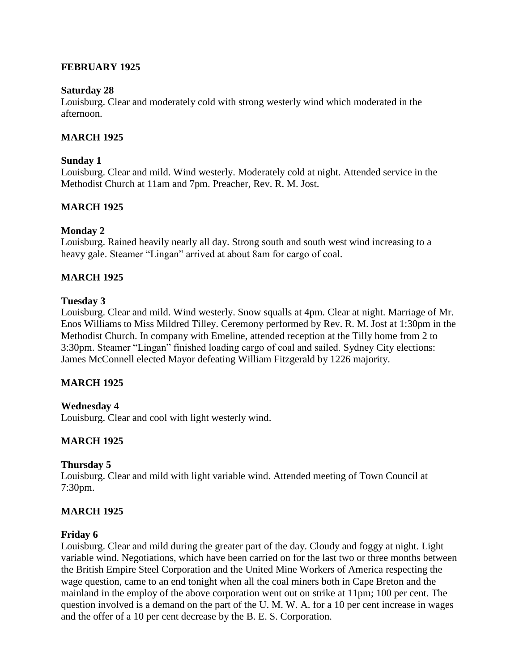### **FEBRUARY 1925**

#### **Saturday 28**

Louisburg. Clear and moderately cold with strong westerly wind which moderated in the afternoon.

### **MARCH 1925**

#### **Sunday 1**

Louisburg. Clear and mild. Wind westerly. Moderately cold at night. Attended service in the Methodist Church at 11am and 7pm. Preacher, Rev. R. M. Jost.

### **MARCH 1925**

#### **Monday 2**

Louisburg. Rained heavily nearly all day. Strong south and south west wind increasing to a heavy gale. Steamer "Lingan" arrived at about 8am for cargo of coal.

### **MARCH 1925**

#### **Tuesday 3**

Louisburg. Clear and mild. Wind westerly. Snow squalls at 4pm. Clear at night. Marriage of Mr. Enos Williams to Miss Mildred Tilley. Ceremony performed by Rev. R. M. Jost at 1:30pm in the Methodist Church. In company with Emeline, attended reception at the Tilly home from 2 to 3:30pm. Steamer "Lingan" finished loading cargo of coal and sailed. Sydney City elections: James McConnell elected Mayor defeating William Fitzgerald by 1226 majority.

### **MARCH 1925**

### **Wednesday 4**

Louisburg. Clear and cool with light westerly wind.

### **MARCH 1925**

### **Thursday 5**

Louisburg. Clear and mild with light variable wind. Attended meeting of Town Council at 7:30pm.

### **MARCH 1925**

#### **Friday 6**

Louisburg. Clear and mild during the greater part of the day. Cloudy and foggy at night. Light variable wind. Negotiations, which have been carried on for the last two or three months between the British Empire Steel Corporation and the United Mine Workers of America respecting the wage question, came to an end tonight when all the coal miners both in Cape Breton and the mainland in the employ of the above corporation went out on strike at 11pm; 100 per cent. The question involved is a demand on the part of the U. M. W. A. for a 10 per cent increase in wages and the offer of a 10 per cent decrease by the B. E. S. Corporation.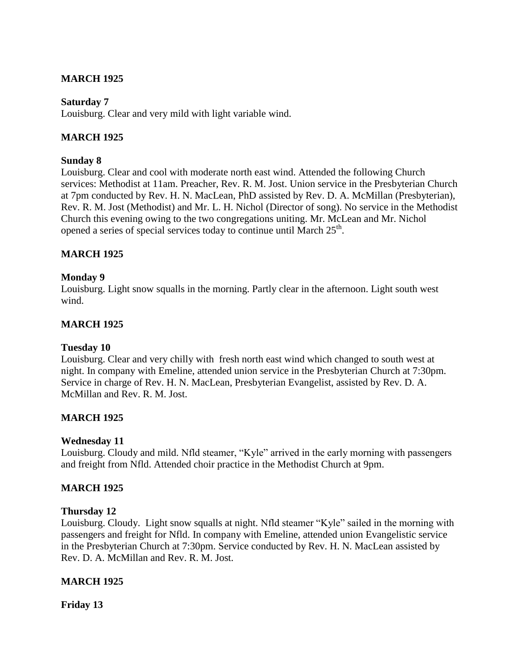# **MARCH 1925**

### **Saturday 7**

Louisburg. Clear and very mild with light variable wind.

### **MARCH 1925**

#### **Sunday 8**

Louisburg. Clear and cool with moderate north east wind. Attended the following Church services: Methodist at 11am. Preacher, Rev. R. M. Jost. Union service in the Presbyterian Church at 7pm conducted by Rev. H. N. MacLean, PhD assisted by Rev. D. A. McMillan (Presbyterian), Rev. R. M. Jost (Methodist) and Mr. L. H. Nichol (Director of song). No service in the Methodist Church this evening owing to the two congregations uniting. Mr. McLean and Mr. Nichol opened a series of special services today to continue until March 25<sup>th</sup>.

### **MARCH 1925**

### **Monday 9**

Louisburg. Light snow squalls in the morning. Partly clear in the afternoon. Light south west wind.

### **MARCH 1925**

#### **Tuesday 10**

Louisburg. Clear and very chilly with fresh north east wind which changed to south west at night. In company with Emeline, attended union service in the Presbyterian Church at 7:30pm. Service in charge of Rev. H. N. MacLean, Presbyterian Evangelist, assisted by Rev. D. A. McMillan and Rev. R. M. Jost.

### **MARCH 1925**

### **Wednesday 11**

Louisburg. Cloudy and mild. Nfld steamer, "Kyle" arrived in the early morning with passengers and freight from Nfld. Attended choir practice in the Methodist Church at 9pm.

#### **MARCH 1925**

#### **Thursday 12**

Louisburg. Cloudy. Light snow squalls at night. Nfld steamer "Kyle" sailed in the morning with passengers and freight for Nfld. In company with Emeline, attended union Evangelistic service in the Presbyterian Church at 7:30pm. Service conducted by Rev. H. N. MacLean assisted by Rev. D. A. McMillan and Rev. R. M. Jost.

### **MARCH 1925**

**Friday 13**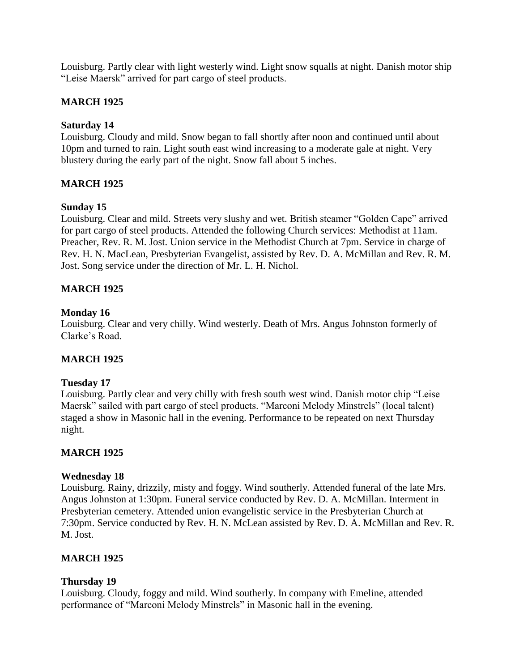Louisburg. Partly clear with light westerly wind. Light snow squalls at night. Danish motor ship "Leise Maersk" arrived for part cargo of steel products.

### **MARCH 1925**

### **Saturday 14**

Louisburg. Cloudy and mild. Snow began to fall shortly after noon and continued until about 10pm and turned to rain. Light south east wind increasing to a moderate gale at night. Very blustery during the early part of the night. Snow fall about 5 inches.

### **MARCH 1925**

### **Sunday 15**

Louisburg. Clear and mild. Streets very slushy and wet. British steamer "Golden Cape" arrived for part cargo of steel products. Attended the following Church services: Methodist at 11am. Preacher, Rev. R. M. Jost. Union service in the Methodist Church at 7pm. Service in charge of Rev. H. N. MacLean, Presbyterian Evangelist, assisted by Rev. D. A. McMillan and Rev. R. M. Jost. Song service under the direction of Mr. L. H. Nichol.

### **MARCH 1925**

### **Monday 16**

Louisburg. Clear and very chilly. Wind westerly. Death of Mrs. Angus Johnston formerly of Clarke's Road.

### **MARCH 1925**

### **Tuesday 17**

Louisburg. Partly clear and very chilly with fresh south west wind. Danish motor chip "Leise Maersk" sailed with part cargo of steel products. "Marconi Melody Minstrels" (local talent) staged a show in Masonic hall in the evening. Performance to be repeated on next Thursday night.

### **MARCH 1925**

### **Wednesday 18**

Louisburg. Rainy, drizzily, misty and foggy. Wind southerly. Attended funeral of the late Mrs. Angus Johnston at 1:30pm. Funeral service conducted by Rev. D. A. McMillan. Interment in Presbyterian cemetery. Attended union evangelistic service in the Presbyterian Church at 7:30pm. Service conducted by Rev. H. N. McLean assisted by Rev. D. A. McMillan and Rev. R. M. Jost.

### **MARCH 1925**

### **Thursday 19**

Louisburg. Cloudy, foggy and mild. Wind southerly. In company with Emeline, attended performance of "Marconi Melody Minstrels" in Masonic hall in the evening.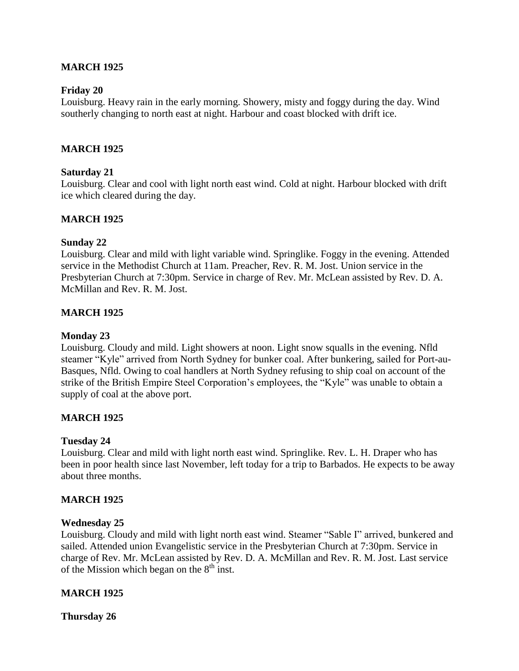### **MARCH 1925**

### **Friday 20**

Louisburg. Heavy rain in the early morning. Showery, misty and foggy during the day. Wind southerly changing to north east at night. Harbour and coast blocked with drift ice.

### **MARCH 1925**

### **Saturday 21**

Louisburg. Clear and cool with light north east wind. Cold at night. Harbour blocked with drift ice which cleared during the day.

### **MARCH 1925**

### **Sunday 22**

Louisburg. Clear and mild with light variable wind. Springlike. Foggy in the evening. Attended service in the Methodist Church at 11am. Preacher, Rev. R. M. Jost. Union service in the Presbyterian Church at 7:30pm. Service in charge of Rev. Mr. McLean assisted by Rev. D. A. McMillan and Rev. R. M. Jost.

### **MARCH 1925**

### **Monday 23**

Louisburg. Cloudy and mild. Light showers at noon. Light snow squalls in the evening. Nfld steamer "Kyle" arrived from North Sydney for bunker coal. After bunkering, sailed for Port-au-Basques, Nfld. Owing to coal handlers at North Sydney refusing to ship coal on account of the strike of the British Empire Steel Corporation's employees, the "Kyle" was unable to obtain a supply of coal at the above port.

### **MARCH 1925**

### **Tuesday 24**

Louisburg. Clear and mild with light north east wind. Springlike. Rev. L. H. Draper who has been in poor health since last November, left today for a trip to Barbados. He expects to be away about three months.

### **MARCH 1925**

### **Wednesday 25**

Louisburg. Cloudy and mild with light north east wind. Steamer "Sable I" arrived, bunkered and sailed. Attended union Evangelistic service in the Presbyterian Church at 7:30pm. Service in charge of Rev. Mr. McLean assisted by Rev. D. A. McMillan and Rev. R. M. Jost. Last service of the Mission which began on the  $8<sup>th</sup>$  inst.

# **MARCH 1925**

**Thursday 26**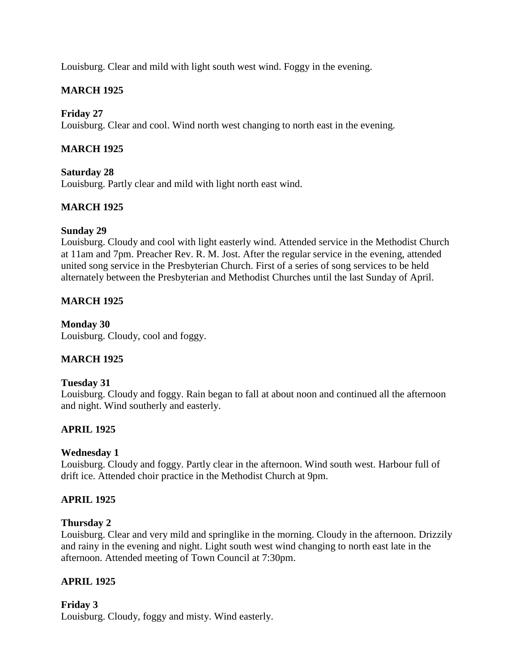Louisburg. Clear and mild with light south west wind. Foggy in the evening.

# **MARCH 1925**

### **Friday 27**

Louisburg. Clear and cool. Wind north west changing to north east in the evening.

### **MARCH 1925**

**Saturday 28** Louisburg. Partly clear and mild with light north east wind.

# **MARCH 1925**

### **Sunday 29**

Louisburg. Cloudy and cool with light easterly wind. Attended service in the Methodist Church at 11am and 7pm. Preacher Rev. R. M. Jost. After the regular service in the evening, attended united song service in the Presbyterian Church. First of a series of song services to be held alternately between the Presbyterian and Methodist Churches until the last Sunday of April.

# **MARCH 1925**

# **Monday 30**

Louisburg. Cloudy, cool and foggy.

# **MARCH 1925**

### **Tuesday 31**

Louisburg. Cloudy and foggy. Rain began to fall at about noon and continued all the afternoon and night. Wind southerly and easterly.

### **APRIL 1925**

### **Wednesday 1**

Louisburg. Cloudy and foggy. Partly clear in the afternoon. Wind south west. Harbour full of drift ice. Attended choir practice in the Methodist Church at 9pm.

### **APRIL 1925**

### **Thursday 2**

Louisburg. Clear and very mild and springlike in the morning. Cloudy in the afternoon. Drizzily and rainy in the evening and night. Light south west wind changing to north east late in the afternoon. Attended meeting of Town Council at 7:30pm.

# **APRIL 1925**

### **Friday 3**

Louisburg. Cloudy, foggy and misty. Wind easterly.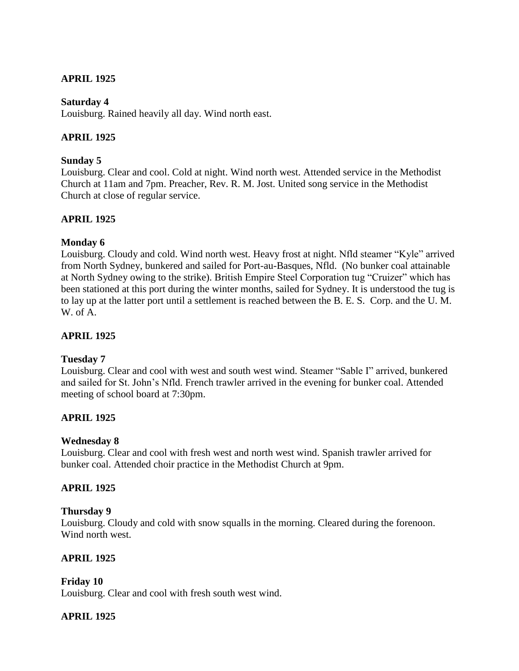# **APRIL 1925**

### **Saturday 4**

Louisburg. Rained heavily all day. Wind north east.

### **APRIL 1925**

### **Sunday 5**

Louisburg. Clear and cool. Cold at night. Wind north west. Attended service in the Methodist Church at 11am and 7pm. Preacher, Rev. R. M. Jost. United song service in the Methodist Church at close of regular service.

### **APRIL 1925**

### **Monday 6**

Louisburg. Cloudy and cold. Wind north west. Heavy frost at night. Nfld steamer "Kyle" arrived from North Sydney, bunkered and sailed for Port-au-Basques, Nfld. (No bunker coal attainable at North Sydney owing to the strike). British Empire Steel Corporation tug "Cruizer" which has been stationed at this port during the winter months, sailed for Sydney. It is understood the tug is to lay up at the latter port until a settlement is reached between the B. E. S. Corp. and the U. M. W. of A.

### **APRIL 1925**

### **Tuesday 7**

Louisburg. Clear and cool with west and south west wind. Steamer "Sable I" arrived, bunkered and sailed for St. John's Nfld. French trawler arrived in the evening for bunker coal. Attended meeting of school board at 7:30pm.

### **APRIL 1925**

### **Wednesday 8**

Louisburg. Clear and cool with fresh west and north west wind. Spanish trawler arrived for bunker coal. Attended choir practice in the Methodist Church at 9pm.

### **APRIL 1925**

### **Thursday 9**

Louisburg. Cloudy and cold with snow squalls in the morning. Cleared during the forenoon. Wind north west.

### **APRIL 1925**

**Friday 10** Louisburg. Clear and cool with fresh south west wind.

# **APRIL 1925**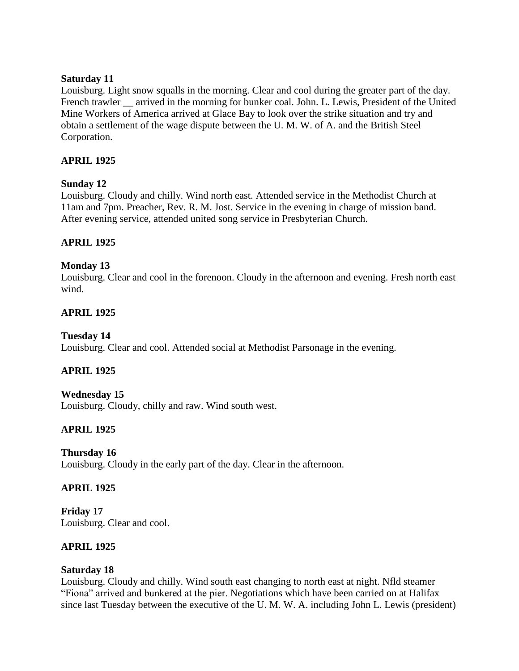### **Saturday 11**

Louisburg. Light snow squalls in the morning. Clear and cool during the greater part of the day. French trawler \_\_ arrived in the morning for bunker coal. John. L. Lewis, President of the United Mine Workers of America arrived at Glace Bay to look over the strike situation and try and obtain a settlement of the wage dispute between the U. M. W. of A. and the British Steel Corporation.

# **APRIL 1925**

# **Sunday 12**

Louisburg. Cloudy and chilly. Wind north east. Attended service in the Methodist Church at 11am and 7pm. Preacher, Rev. R. M. Jost. Service in the evening in charge of mission band. After evening service, attended united song service in Presbyterian Church.

# **APRIL 1925**

# **Monday 13**

Louisburg. Clear and cool in the forenoon. Cloudy in the afternoon and evening. Fresh north east wind.

# **APRIL 1925**

### **Tuesday 14**

Louisburg. Clear and cool. Attended social at Methodist Parsonage in the evening.

# **APRIL 1925**

### **Wednesday 15**

Louisburg. Cloudy, chilly and raw. Wind south west.

# **APRIL 1925**

**Thursday 16** Louisburg. Cloudy in the early part of the day. Clear in the afternoon.

### **APRIL 1925**

**Friday 17** Louisburg. Clear and cool.

### **APRIL 1925**

### **Saturday 18**

Louisburg. Cloudy and chilly. Wind south east changing to north east at night. Nfld steamer "Fiona" arrived and bunkered at the pier. Negotiations which have been carried on at Halifax since last Tuesday between the executive of the U. M. W. A. including John L. Lewis (president)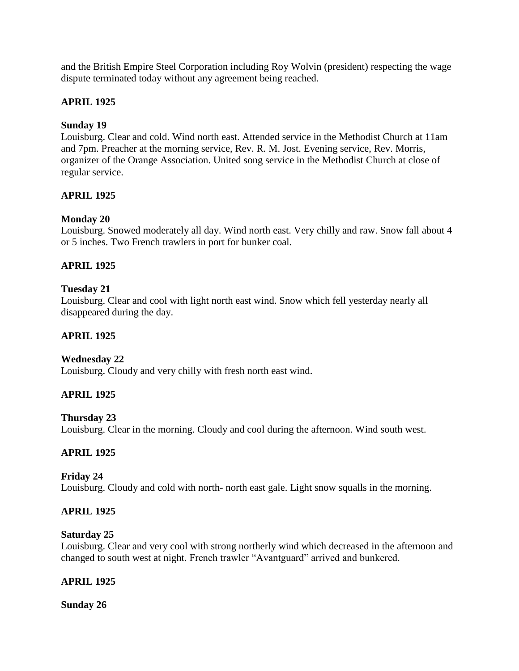and the British Empire Steel Corporation including Roy Wolvin (president) respecting the wage dispute terminated today without any agreement being reached.

# **APRIL 1925**

### **Sunday 19**

Louisburg. Clear and cold. Wind north east. Attended service in the Methodist Church at 11am and 7pm. Preacher at the morning service, Rev. R. M. Jost. Evening service, Rev. Morris, organizer of the Orange Association. United song service in the Methodist Church at close of regular service.

### **APRIL 1925**

### **Monday 20**

Louisburg. Snowed moderately all day. Wind north east. Very chilly and raw. Snow fall about 4 or 5 inches. Two French trawlers in port for bunker coal.

### **APRIL 1925**

### **Tuesday 21**

Louisburg. Clear and cool with light north east wind. Snow which fell yesterday nearly all disappeared during the day.

### **APRIL 1925**

### **Wednesday 22**

Louisburg. Cloudy and very chilly with fresh north east wind.

### **APRIL 1925**

### **Thursday 23**

Louisburg. Clear in the morning. Cloudy and cool during the afternoon. Wind south west.

### **APRIL 1925**

### **Friday 24**

Louisburg. Cloudy and cold with north- north east gale. Light snow squalls in the morning.

### **APRIL 1925**

#### **Saturday 25**

Louisburg. Clear and very cool with strong northerly wind which decreased in the afternoon and changed to south west at night. French trawler "Avantguard" arrived and bunkered.

### **APRIL 1925**

### **Sunday 26**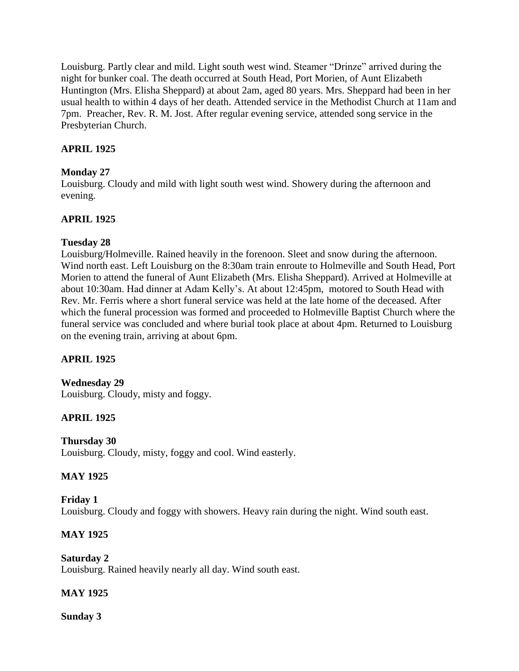Louisburg. Partly clear and mild. Light south west wind. Steamer "Drinze" arrived during the night for bunker coal. The death occurred at South Head, Port Morien, of Aunt Elizabeth Huntington (Mrs. Elisha Sheppard) at about 2am, aged 80 years. Mrs. Sheppard had been in her usual health to within 4 days of her death. Attended service in the Methodist Church at 11am and 7pm. Preacher, Rev. R. M. Jost. After regular evening service, attended song service in the Presbyterian Church.

# **APRIL 1925**

### **Monday 27**

Louisburg. Cloudy and mild with light south west wind. Showery during the afternoon and evening.

# **APRIL 1925**

# **Tuesday 28**

Louisburg/Holmeville. Rained heavily in the forenoon. Sleet and snow during the afternoon. Wind north east. Left Louisburg on the 8:30am train enroute to Holmeville and South Head, Port Morien to attend the funeral of Aunt Elizabeth (Mrs. Elisha Sheppard). Arrived at Holmeville at about 10:30am. Had dinner at Adam Kelly's. At about 12:45pm, motored to South Head with Rev. Mr. Ferris where a short funeral service was held at the late home of the deceased. After which the funeral procession was formed and proceeded to Holmeville Baptist Church where the funeral service was concluded and where burial took place at about 4pm. Returned to Louisburg on the evening train, arriving at about 6pm.

# **APRIL 1925**

# **Wednesday 29**

Louisburg. Cloudy, misty and foggy.

# **APRIL 1925**

**Thursday 30** Louisburg. Cloudy, misty, foggy and cool. Wind easterly.

# **MAY 1925**

### **Friday 1**

Louisburg. Cloudy and foggy with showers. Heavy rain during the night. Wind south east.

# **MAY 1925**

**Saturday 2** Louisburg. Rained heavily nearly all day. Wind south east.

# **MAY 1925**

**Sunday 3**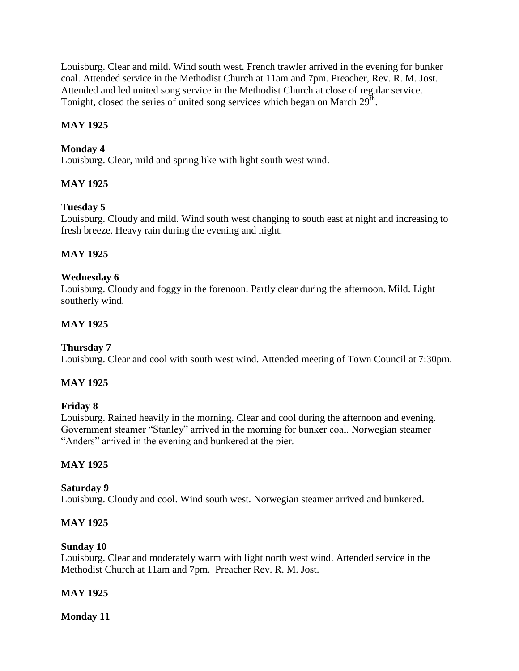Louisburg. Clear and mild. Wind south west. French trawler arrived in the evening for bunker coal. Attended service in the Methodist Church at 11am and 7pm. Preacher, Rev. R. M. Jost. Attended and led united song service in the Methodist Church at close of regular service. Tonight, closed the series of united song services which began on March  $29^{\text{th}}$ .

# **MAY 1925**

# **Monday 4**

Louisburg. Clear, mild and spring like with light south west wind.

# **MAY 1925**

# **Tuesday 5**

Louisburg. Cloudy and mild. Wind south west changing to south east at night and increasing to fresh breeze. Heavy rain during the evening and night.

# **MAY 1925**

# **Wednesday 6**

Louisburg. Cloudy and foggy in the forenoon. Partly clear during the afternoon. Mild. Light southerly wind.

# **MAY 1925**

# **Thursday 7**

Louisburg. Clear and cool with south west wind. Attended meeting of Town Council at 7:30pm.

# **MAY 1925**

# **Friday 8**

Louisburg. Rained heavily in the morning. Clear and cool during the afternoon and evening. Government steamer "Stanley" arrived in the morning for bunker coal. Norwegian steamer "Anders" arrived in the evening and bunkered at the pier.

# **MAY 1925**

### **Saturday 9**

Louisburg. Cloudy and cool. Wind south west. Norwegian steamer arrived and bunkered.

# **MAY 1925**

# **Sunday 10**

Louisburg. Clear and moderately warm with light north west wind. Attended service in the Methodist Church at 11am and 7pm. Preacher Rev. R. M. Jost.

# **MAY 1925**

**Monday 11**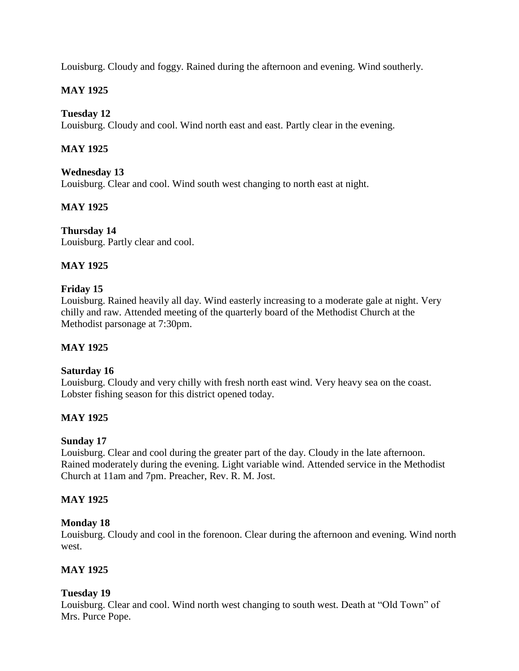Louisburg. Cloudy and foggy. Rained during the afternoon and evening. Wind southerly.

# **MAY 1925**

### **Tuesday 12**

Louisburg. Cloudy and cool. Wind north east and east. Partly clear in the evening.

# **MAY 1925**

### **Wednesday 13**

Louisburg. Clear and cool. Wind south west changing to north east at night.

# **MAY 1925**

**Thursday 14** Louisburg. Partly clear and cool.

# **MAY 1925**

### **Friday 15**

Louisburg. Rained heavily all day. Wind easterly increasing to a moderate gale at night. Very chilly and raw. Attended meeting of the quarterly board of the Methodist Church at the Methodist parsonage at 7:30pm.

# **MAY 1925**

### **Saturday 16**

Louisburg. Cloudy and very chilly with fresh north east wind. Very heavy sea on the coast. Lobster fishing season for this district opened today.

### **MAY 1925**

# **Sunday 17**

Louisburg. Clear and cool during the greater part of the day. Cloudy in the late afternoon. Rained moderately during the evening. Light variable wind. Attended service in the Methodist Church at 11am and 7pm. Preacher, Rev. R. M. Jost.

### **MAY 1925**

### **Monday 18**

Louisburg. Cloudy and cool in the forenoon. Clear during the afternoon and evening. Wind north west.

# **MAY 1925**

### **Tuesday 19**

Louisburg. Clear and cool. Wind north west changing to south west. Death at "Old Town" of Mrs. Purce Pope.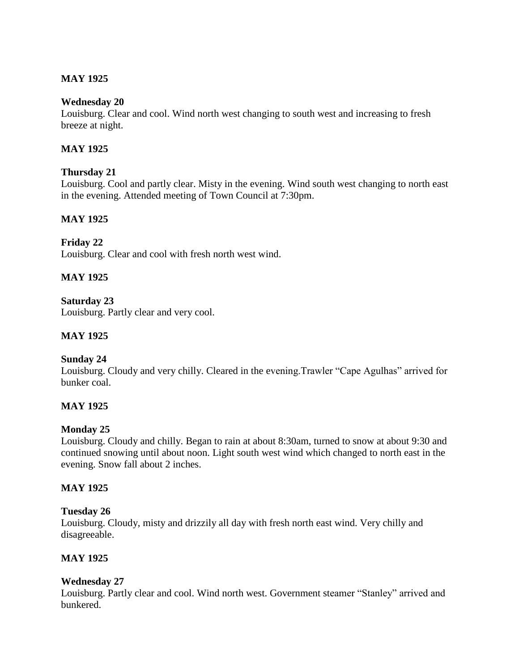# **MAY 1925**

### **Wednesday 20**

Louisburg. Clear and cool. Wind north west changing to south west and increasing to fresh breeze at night.

# **MAY 1925**

# **Thursday 21**

Louisburg. Cool and partly clear. Misty in the evening. Wind south west changing to north east in the evening. Attended meeting of Town Council at 7:30pm.

# **MAY 1925**

# **Friday 22**

Louisburg. Clear and cool with fresh north west wind.

# **MAY 1925**

**Saturday 23** Louisburg. Partly clear and very cool.

### **MAY 1925**

# **Sunday 24**

Louisburg. Cloudy and very chilly. Cleared in the evening.Trawler "Cape Agulhas" arrived for bunker coal.

# **MAY 1925**

### **Monday 25**

Louisburg. Cloudy and chilly. Began to rain at about 8:30am, turned to snow at about 9:30 and continued snowing until about noon. Light south west wind which changed to north east in the evening. Snow fall about 2 inches.

### **MAY 1925**

### **Tuesday 26**

Louisburg. Cloudy, misty and drizzily all day with fresh north east wind. Very chilly and disagreeable.

### **MAY 1925**

# **Wednesday 27**

Louisburg. Partly clear and cool. Wind north west. Government steamer "Stanley" arrived and bunkered.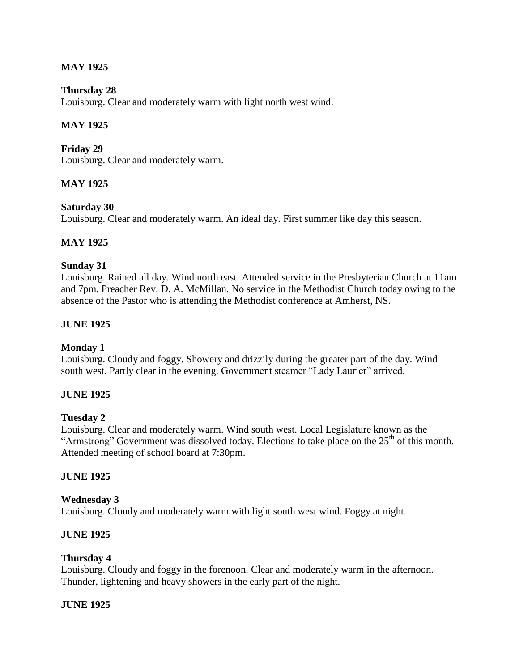### **MAY 1925**

### **Thursday 28**

Louisburg. Clear and moderately warm with light north west wind.

### **MAY 1925**

**Friday 29** Louisburg. Clear and moderately warm.

### **MAY 1925**

### **Saturday 30**

Louisburg. Clear and moderately warm. An ideal day. First summer like day this season.

### **MAY 1925**

#### **Sunday 31**

Louisburg. Rained all day. Wind north east. Attended service in the Presbyterian Church at 11am and 7pm. Preacher Rev. D. A. McMillan. No service in the Methodist Church today owing to the absence of the Pastor who is attending the Methodist conference at Amherst, NS.

### **JUNE 1925**

### **Monday 1**

Louisburg. Cloudy and foggy. Showery and drizzily during the greater part of the day. Wind south west. Partly clear in the evening. Government steamer "Lady Laurier" arrived.

### **JUNE 1925**

### **Tuesday 2**

Louisburg. Clear and moderately warm. Wind south west. Local Legislature known as the "Armstrong" Government was dissolved today. Elections to take place on the  $25<sup>th</sup>$  of this month. Attended meeting of school board at 7:30pm.

### **JUNE 1925**

#### **Wednesday 3**

Louisburg. Cloudy and moderately warm with light south west wind. Foggy at night.

#### **JUNE 1925**

#### **Thursday 4**

Louisburg. Cloudy and foggy in the forenoon. Clear and moderately warm in the afternoon. Thunder, lightening and heavy showers in the early part of the night.

#### **JUNE 1925**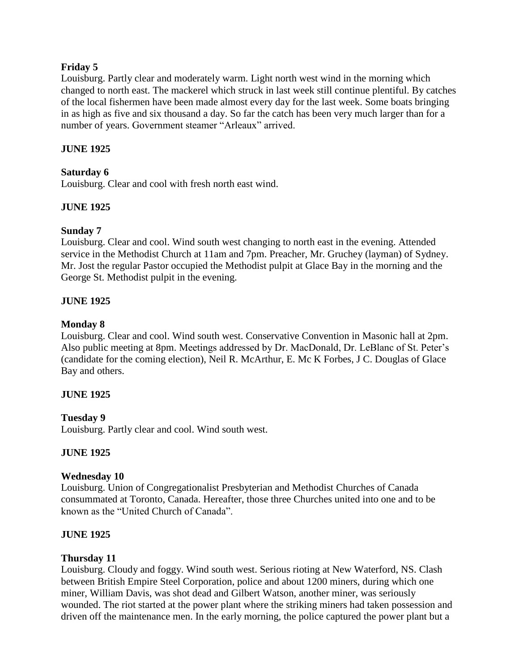### **Friday 5**

Louisburg. Partly clear and moderately warm. Light north west wind in the morning which changed to north east. The mackerel which struck in last week still continue plentiful. By catches of the local fishermen have been made almost every day for the last week. Some boats bringing in as high as five and six thousand a day. So far the catch has been very much larger than for a number of years. Government steamer "Arleaux" arrived.

### **JUNE 1925**

### **Saturday 6**

Louisburg. Clear and cool with fresh north east wind.

### **JUNE 1925**

### **Sunday 7**

Louisburg. Clear and cool. Wind south west changing to north east in the evening. Attended service in the Methodist Church at 11am and 7pm. Preacher, Mr. Gruchey (layman) of Sydney. Mr. Jost the regular Pastor occupied the Methodist pulpit at Glace Bay in the morning and the George St. Methodist pulpit in the evening.

### **JUNE 1925**

### **Monday 8**

Louisburg. Clear and cool. Wind south west. Conservative Convention in Masonic hall at 2pm. Also public meeting at 8pm. Meetings addressed by Dr. MacDonald, Dr. LeBlanc of St. Peter's (candidate for the coming election), Neil R. McArthur, E. Mc K Forbes, J C. Douglas of Glace Bay and others.

### **JUNE 1925**

# **Tuesday 9**

Louisburg. Partly clear and cool. Wind south west.

### **JUNE 1925**

### **Wednesday 10**

Louisburg. Union of Congregationalist Presbyterian and Methodist Churches of Canada consummated at Toronto, Canada. Hereafter, those three Churches united into one and to be known as the "United Church of Canada".

### **JUNE 1925**

### **Thursday 11**

Louisburg. Cloudy and foggy. Wind south west. Serious rioting at New Waterford, NS. Clash between British Empire Steel Corporation, police and about 1200 miners, during which one miner, William Davis, was shot dead and Gilbert Watson, another miner, was seriously wounded. The riot started at the power plant where the striking miners had taken possession and driven off the maintenance men. In the early morning, the police captured the power plant but a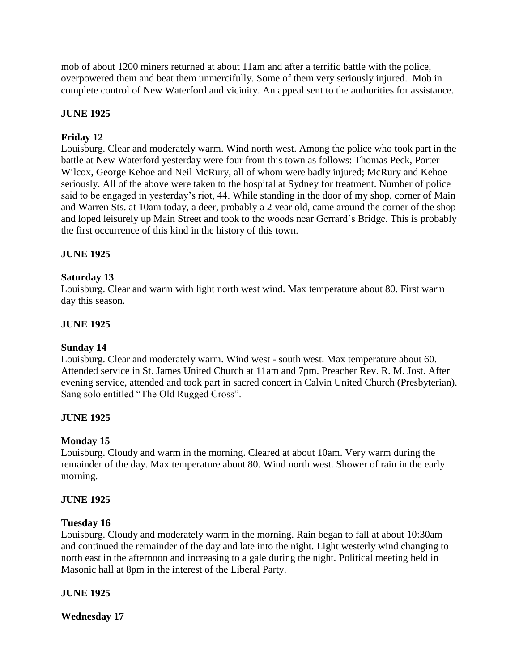mob of about 1200 miners returned at about 11am and after a terrific battle with the police, overpowered them and beat them unmercifully. Some of them very seriously injured. Mob in complete control of New Waterford and vicinity. An appeal sent to the authorities for assistance.

# **JUNE 1925**

# **Friday 12**

Louisburg. Clear and moderately warm. Wind north west. Among the police who took part in the battle at New Waterford yesterday were four from this town as follows: Thomas Peck, Porter Wilcox, George Kehoe and Neil McRury, all of whom were badly injured; McRury and Kehoe seriously. All of the above were taken to the hospital at Sydney for treatment. Number of police said to be engaged in yesterday's riot, 44. While standing in the door of my shop, corner of Main and Warren Sts. at 10am today, a deer, probably a 2 year old, came around the corner of the shop and loped leisurely up Main Street and took to the woods near Gerrard's Bridge. This is probably the first occurrence of this kind in the history of this town.

# **JUNE 1925**

# **Saturday 13**

Louisburg. Clear and warm with light north west wind. Max temperature about 80. First warm day this season.

### **JUNE 1925**

### **Sunday 14**

Louisburg. Clear and moderately warm. Wind west - south west. Max temperature about 60. Attended service in St. James United Church at 11am and 7pm. Preacher Rev. R. M. Jost. After evening service, attended and took part in sacred concert in Calvin United Church (Presbyterian). Sang solo entitled "The Old Rugged Cross".

### **JUNE 1925**

# **Monday 15**

Louisburg. Cloudy and warm in the morning. Cleared at about 10am. Very warm during the remainder of the day. Max temperature about 80. Wind north west. Shower of rain in the early morning.

### **JUNE 1925**

### **Tuesday 16**

Louisburg. Cloudy and moderately warm in the morning. Rain began to fall at about 10:30am and continued the remainder of the day and late into the night. Light westerly wind changing to north east in the afternoon and increasing to a gale during the night. Political meeting held in Masonic hall at 8pm in the interest of the Liberal Party.

### **JUNE 1925**

**Wednesday 17**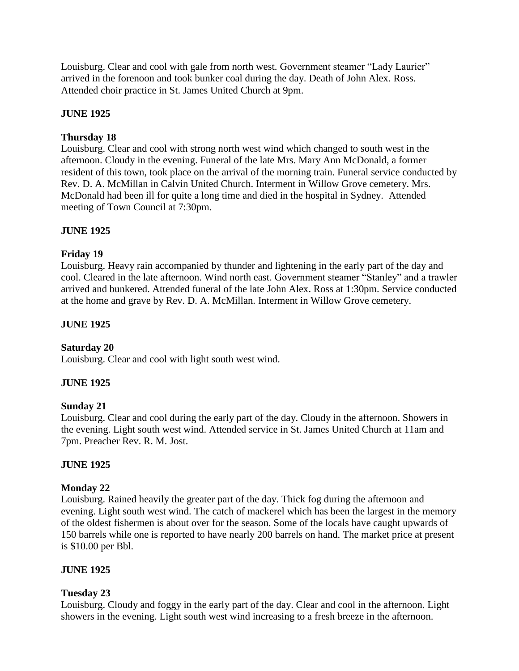Louisburg. Clear and cool with gale from north west. Government steamer "Lady Laurier" arrived in the forenoon and took bunker coal during the day. Death of John Alex. Ross. Attended choir practice in St. James United Church at 9pm.

### **JUNE 1925**

### **Thursday 18**

Louisburg. Clear and cool with strong north west wind which changed to south west in the afternoon. Cloudy in the evening. Funeral of the late Mrs. Mary Ann McDonald, a former resident of this town, took place on the arrival of the morning train. Funeral service conducted by Rev. D. A. McMillan in Calvin United Church. Interment in Willow Grove cemetery. Mrs. McDonald had been ill for quite a long time and died in the hospital in Sydney. Attended meeting of Town Council at 7:30pm.

### **JUNE 1925**

### **Friday 19**

Louisburg. Heavy rain accompanied by thunder and lightening in the early part of the day and cool. Cleared in the late afternoon. Wind north east. Government steamer "Stanley" and a trawler arrived and bunkered. Attended funeral of the late John Alex. Ross at 1:30pm. Service conducted at the home and grave by Rev. D. A. McMillan. Interment in Willow Grove cemetery.

### **JUNE 1925**

### **Saturday 20**

Louisburg. Clear and cool with light south west wind.

### **JUNE 1925**

### **Sunday 21**

Louisburg. Clear and cool during the early part of the day. Cloudy in the afternoon. Showers in the evening. Light south west wind. Attended service in St. James United Church at 11am and 7pm. Preacher Rev. R. M. Jost.

### **JUNE 1925**

### **Monday 22**

Louisburg. Rained heavily the greater part of the day. Thick fog during the afternoon and evening. Light south west wind. The catch of mackerel which has been the largest in the memory of the oldest fishermen is about over for the season. Some of the locals have caught upwards of 150 barrels while one is reported to have nearly 200 barrels on hand. The market price at present is \$10.00 per Bbl.

### **JUNE 1925**

### **Tuesday 23**

Louisburg. Cloudy and foggy in the early part of the day. Clear and cool in the afternoon. Light showers in the evening. Light south west wind increasing to a fresh breeze in the afternoon.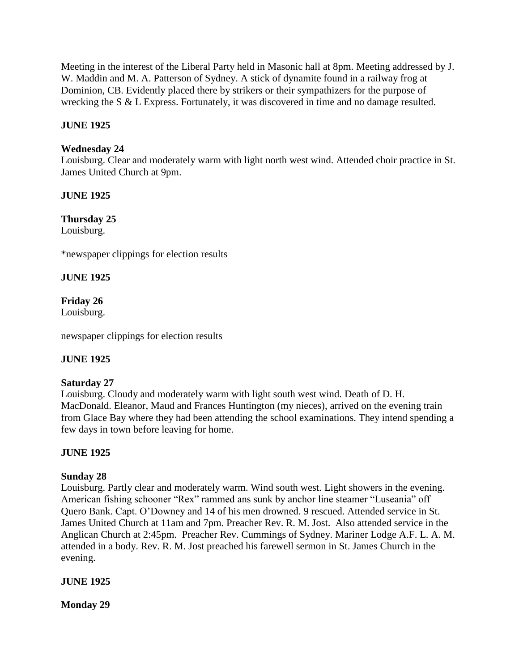Meeting in the interest of the Liberal Party held in Masonic hall at 8pm. Meeting addressed by J. W. Maddin and M. A. Patterson of Sydney. A stick of dynamite found in a railway frog at Dominion, CB. Evidently placed there by strikers or their sympathizers for the purpose of wrecking the S & L Express. Fortunately, it was discovered in time and no damage resulted.

# **JUNE 1925**

# **Wednesday 24**

Louisburg. Clear and moderately warm with light north west wind. Attended choir practice in St. James United Church at 9pm.

# **JUNE 1925**

**Thursday 25**

Louisburg.

\*newspaper clippings for election results

# **JUNE 1925**

# **Friday 26**

Louisburg.

newspaper clippings for election results

# **JUNE 1925**

# **Saturday 27**

Louisburg. Cloudy and moderately warm with light south west wind. Death of D. H. MacDonald. Eleanor, Maud and Frances Huntington (my nieces), arrived on the evening train from Glace Bay where they had been attending the school examinations. They intend spending a few days in town before leaving for home.

# **JUNE 1925**

# **Sunday 28**

Louisburg. Partly clear and moderately warm. Wind south west. Light showers in the evening. American fishing schooner "Rex" rammed ans sunk by anchor line steamer "Luseania" off Quero Bank. Capt. O'Downey and 14 of his men drowned. 9 rescued. Attended service in St. James United Church at 11am and 7pm. Preacher Rev. R. M. Jost. Also attended service in the Anglican Church at 2:45pm. Preacher Rev. Cummings of Sydney. Mariner Lodge A.F. L. A. M. attended in a body. Rev. R. M. Jost preached his farewell sermon in St. James Church in the evening.

# **JUNE 1925**

**Monday 29**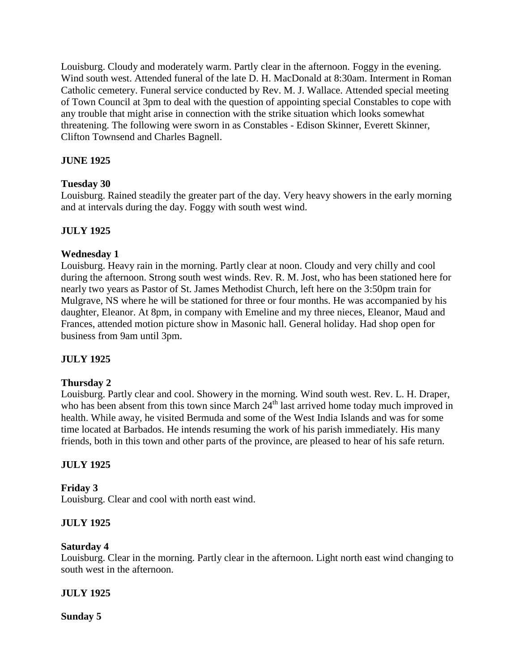Louisburg. Cloudy and moderately warm. Partly clear in the afternoon. Foggy in the evening. Wind south west. Attended funeral of the late D. H. MacDonald at 8:30am. Interment in Roman Catholic cemetery. Funeral service conducted by Rev. M. J. Wallace. Attended special meeting of Town Council at 3pm to deal with the question of appointing special Constables to cope with any trouble that might arise in connection with the strike situation which looks somewhat threatening. The following were sworn in as Constables - Edison Skinner, Everett Skinner, Clifton Townsend and Charles Bagnell.

# **JUNE 1925**

### **Tuesday 30**

Louisburg. Rained steadily the greater part of the day. Very heavy showers in the early morning and at intervals during the day. Foggy with south west wind.

### **JULY 1925**

### **Wednesday 1**

Louisburg. Heavy rain in the morning. Partly clear at noon. Cloudy and very chilly and cool during the afternoon. Strong south west winds. Rev. R. M. Jost, who has been stationed here for nearly two years as Pastor of St. James Methodist Church, left here on the 3:50pm train for Mulgrave, NS where he will be stationed for three or four months. He was accompanied by his daughter, Eleanor. At 8pm, in company with Emeline and my three nieces, Eleanor, Maud and Frances, attended motion picture show in Masonic hall. General holiday. Had shop open for business from 9am until 3pm.

# **JULY 1925**

### **Thursday 2**

Louisburg. Partly clear and cool. Showery in the morning. Wind south west. Rev. L. H. Draper, who has been absent from this town since March  $24<sup>th</sup>$  last arrived home today much improved in health. While away, he visited Bermuda and some of the West India Islands and was for some time located at Barbados. He intends resuming the work of his parish immediately. His many friends, both in this town and other parts of the province, are pleased to hear of his safe return.

### **JULY 1925**

### **Friday 3**

Louisburg. Clear and cool with north east wind.

# **JULY 1925**

### **Saturday 4**

Louisburg. Clear in the morning. Partly clear in the afternoon. Light north east wind changing to south west in the afternoon.

### **JULY 1925**

**Sunday 5**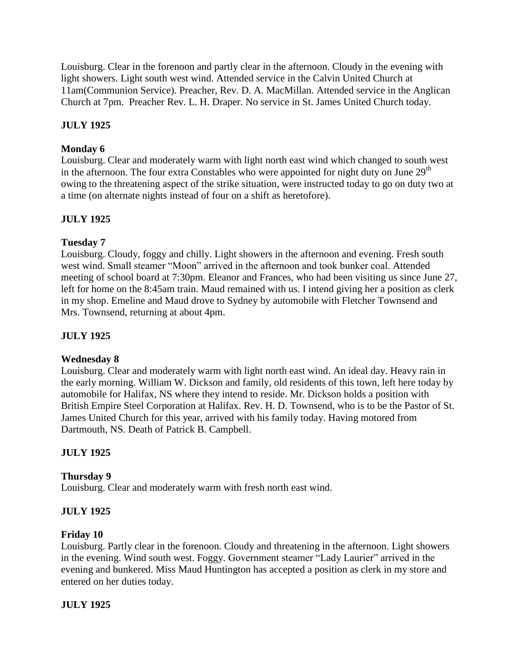Louisburg. Clear in the forenoon and partly clear in the afternoon. Cloudy in the evening with light showers. Light south west wind. Attended service in the Calvin United Church at 11am(Communion Service). Preacher, Rev. D. A. MacMillan. Attended service in the Anglican Church at 7pm. Preacher Rev. L. H. Draper. No service in St. James United Church today.

# **JULY 1925**

# **Monday 6**

Louisburg. Clear and moderately warm with light north east wind which changed to south west in the afternoon. The four extra Constables who were appointed for night duty on June  $29<sup>th</sup>$ owing to the threatening aspect of the strike situation, were instructed today to go on duty two at a time (on alternate nights instead of four on a shift as heretofore).

# **JULY 1925**

# **Tuesday 7**

Louisburg. Cloudy, foggy and chilly. Light showers in the afternoon and evening. Fresh south west wind. Small steamer "Moon" arrived in the afternoon and took bunker coal. Attended meeting of school board at 7:30pm. Eleanor and Frances, who had been visiting us since June 27, left for home on the 8:45am train. Maud remained with us. I intend giving her a position as clerk in my shop. Emeline and Maud drove to Sydney by automobile with Fletcher Townsend and Mrs. Townsend, returning at about 4pm.

### **JULY 1925**

### **Wednesday 8**

Louisburg. Clear and moderately warm with light north east wind. An ideal day. Heavy rain in the early morning. William W. Dickson and family, old residents of this town, left here today by automobile for Halifax, NS where they intend to reside. Mr. Dickson holds a position with British Empire Steel Corporation at Halifax. Rev. H. D. Townsend, who is to be the Pastor of St. James United Church for this year, arrived with his family today. Having motored from Dartmouth, NS. Death of Patrick B. Campbell.

# **JULY 1925**

### **Thursday 9**

Louisburg. Clear and moderately warm with fresh north east wind.

### **JULY 1925**

### **Friday 10**

Louisburg. Partly clear in the forenoon. Cloudy and threatening in the afternoon. Light showers in the evening. Wind south west. Foggy. Government steamer "Lady Laurier" arrived in the evening and bunkered. Miss Maud Huntington has accepted a position as clerk in my store and entered on her duties today.

### **JULY 1925**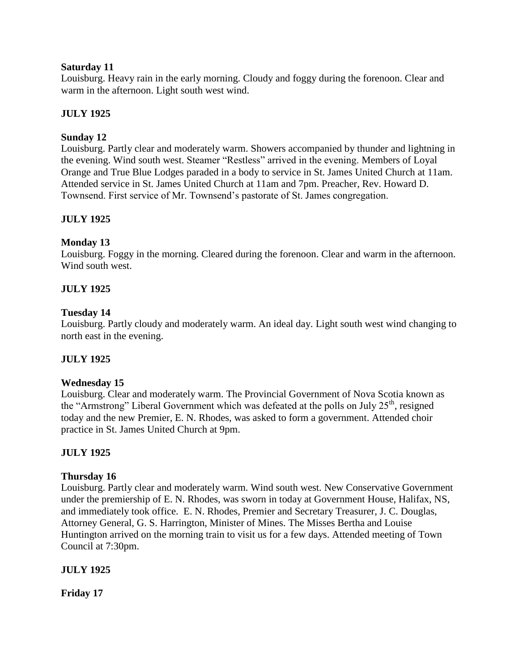### **Saturday 11**

Louisburg. Heavy rain in the early morning. Cloudy and foggy during the forenoon. Clear and warm in the afternoon. Light south west wind.

# **JULY 1925**

# **Sunday 12**

Louisburg. Partly clear and moderately warm. Showers accompanied by thunder and lightning in the evening. Wind south west. Steamer "Restless" arrived in the evening. Members of Loyal Orange and True Blue Lodges paraded in a body to service in St. James United Church at 11am. Attended service in St. James United Church at 11am and 7pm. Preacher, Rev. Howard D. Townsend. First service of Mr. Townsend's pastorate of St. James congregation.

# **JULY 1925**

# **Monday 13**

Louisburg. Foggy in the morning. Cleared during the forenoon. Clear and warm in the afternoon. Wind south west.

# **JULY 1925**

### **Tuesday 14**

Louisburg. Partly cloudy and moderately warm. An ideal day. Light south west wind changing to north east in the evening.

# **JULY 1925**

# **Wednesday 15**

Louisburg. Clear and moderately warm. The Provincial Government of Nova Scotia known as the "Armstrong" Liberal Government which was defeated at the polls on July  $25<sup>th</sup>$ , resigned today and the new Premier, E. N. Rhodes, was asked to form a government. Attended choir practice in St. James United Church at 9pm.

# **JULY 1925**

### **Thursday 16**

Louisburg. Partly clear and moderately warm. Wind south west. New Conservative Government under the premiership of E. N. Rhodes, was sworn in today at Government House, Halifax, NS, and immediately took office. E. N. Rhodes, Premier and Secretary Treasurer, J. C. Douglas, Attorney General, G. S. Harrington, Minister of Mines. The Misses Bertha and Louise Huntington arrived on the morning train to visit us for a few days. Attended meeting of Town Council at 7:30pm.

### **JULY 1925**

**Friday 17**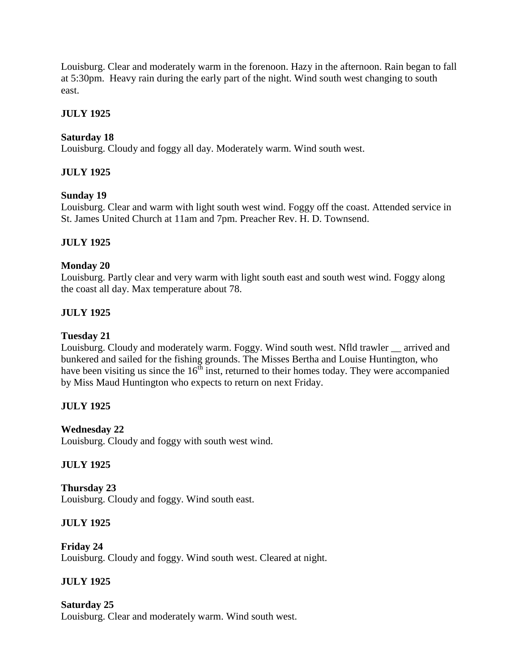Louisburg. Clear and moderately warm in the forenoon. Hazy in the afternoon. Rain began to fall at 5:30pm. Heavy rain during the early part of the night. Wind south west changing to south east.

# **JULY 1925**

# **Saturday 18**

Louisburg. Cloudy and foggy all day. Moderately warm. Wind south west.

# **JULY 1925**

# **Sunday 19**

Louisburg. Clear and warm with light south west wind. Foggy off the coast. Attended service in St. James United Church at 11am and 7pm. Preacher Rev. H. D. Townsend.

# **JULY 1925**

# **Monday 20**

Louisburg. Partly clear and very warm with light south east and south west wind. Foggy along the coast all day. Max temperature about 78.

# **JULY 1925**

# **Tuesday 21**

Louisburg. Cloudy and moderately warm. Foggy. Wind south west. Nfld trawler \_\_ arrived and bunkered and sailed for the fishing grounds. The Misses Bertha and Louise Huntington, who have been visiting us since the  $16<sup>th</sup>$  inst, returned to their homes today. They were accompanied by Miss Maud Huntington who expects to return on next Friday.

# **JULY 1925**

# **Wednesday 22**

Louisburg. Cloudy and foggy with south west wind.

# **JULY 1925**

**Thursday 23** Louisburg. Cloudy and foggy. Wind south east.

# **JULY 1925**

**Friday 24** Louisburg. Cloudy and foggy. Wind south west. Cleared at night.

# **JULY 1925**

# **Saturday 25**

Louisburg. Clear and moderately warm. Wind south west.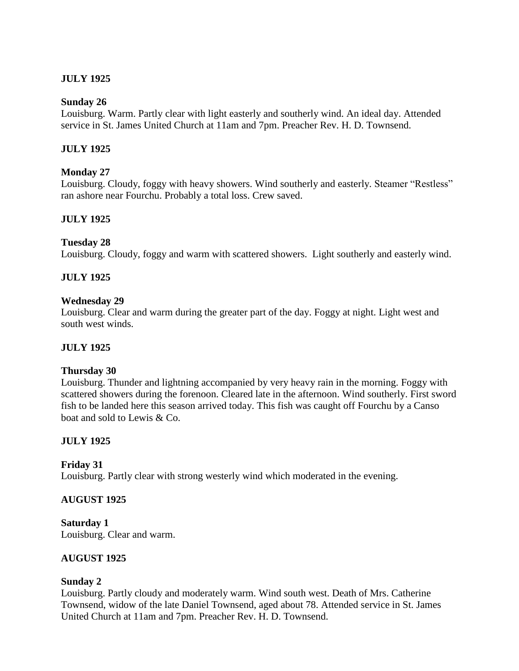# **JULY 1925**

### **Sunday 26**

Louisburg. Warm. Partly clear with light easterly and southerly wind. An ideal day. Attended service in St. James United Church at 11am and 7pm. Preacher Rev. H. D. Townsend.

# **JULY 1925**

### **Monday 27**

Louisburg. Cloudy, foggy with heavy showers. Wind southerly and easterly. Steamer "Restless" ran ashore near Fourchu. Probably a total loss. Crew saved.

# **JULY 1925**

### **Tuesday 28**

Louisburg. Cloudy, foggy and warm with scattered showers. Light southerly and easterly wind.

### **JULY 1925**

### **Wednesday 29**

Louisburg. Clear and warm during the greater part of the day. Foggy at night. Light west and south west winds.

### **JULY 1925**

### **Thursday 30**

Louisburg. Thunder and lightning accompanied by very heavy rain in the morning. Foggy with scattered showers during the forenoon. Cleared late in the afternoon. Wind southerly. First sword fish to be landed here this season arrived today. This fish was caught off Fourchu by a Canso boat and sold to Lewis & Co.

# **JULY 1925**

### **Friday 31**

Louisburg. Partly clear with strong westerly wind which moderated in the evening.

### **AUGUST 1925**

**Saturday 1** Louisburg. Clear and warm.

### **AUGUST 1925**

### **Sunday 2**

Louisburg. Partly cloudy and moderately warm. Wind south west. Death of Mrs. Catherine Townsend, widow of the late Daniel Townsend, aged about 78. Attended service in St. James United Church at 11am and 7pm. Preacher Rev. H. D. Townsend.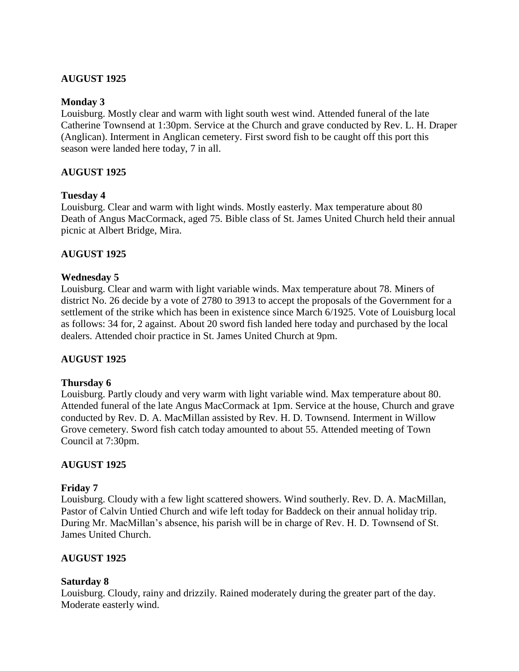### **AUGUST 1925**

### **Monday 3**

Louisburg. Mostly clear and warm with light south west wind. Attended funeral of the late Catherine Townsend at 1:30pm. Service at the Church and grave conducted by Rev. L. H. Draper (Anglican). Interment in Anglican cemetery. First sword fish to be caught off this port this season were landed here today, 7 in all.

### **AUGUST 1925**

### **Tuesday 4**

Louisburg. Clear and warm with light winds. Mostly easterly. Max temperature about 80 Death of Angus MacCormack, aged 75. Bible class of St. James United Church held their annual picnic at Albert Bridge, Mira.

### **AUGUST 1925**

### **Wednesday 5**

Louisburg. Clear and warm with light variable winds. Max temperature about 78. Miners of district No. 26 decide by a vote of 2780 to 3913 to accept the proposals of the Government for a settlement of the strike which has been in existence since March 6/1925. Vote of Louisburg local as follows: 34 for, 2 against. About 20 sword fish landed here today and purchased by the local dealers. Attended choir practice in St. James United Church at 9pm.

### **AUGUST 1925**

### **Thursday 6**

Louisburg. Partly cloudy and very warm with light variable wind. Max temperature about 80. Attended funeral of the late Angus MacCormack at 1pm. Service at the house, Church and grave conducted by Rev. D. A. MacMillan assisted by Rev. H. D. Townsend. Interment in Willow Grove cemetery. Sword fish catch today amounted to about 55. Attended meeting of Town Council at 7:30pm.

### **AUGUST 1925**

#### **Friday 7**

Louisburg. Cloudy with a few light scattered showers. Wind southerly. Rev. D. A. MacMillan, Pastor of Calvin Untied Church and wife left today for Baddeck on their annual holiday trip. During Mr. MacMillan's absence, his parish will be in charge of Rev. H. D. Townsend of St. James United Church.

### **AUGUST 1925**

### **Saturday 8**

Louisburg. Cloudy, rainy and drizzily. Rained moderately during the greater part of the day. Moderate easterly wind.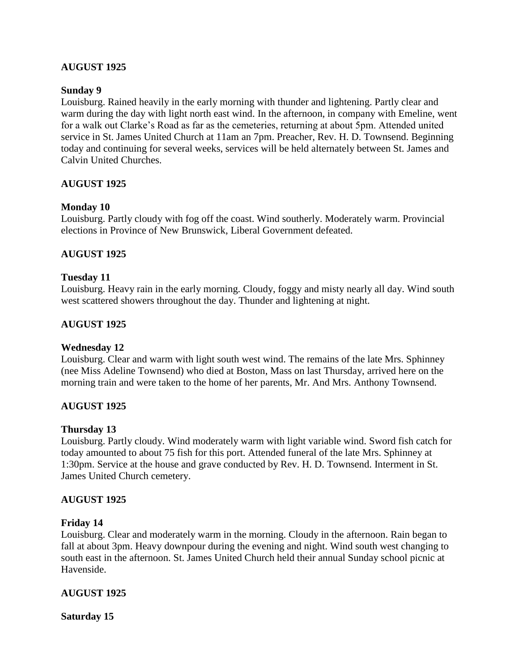### **AUGUST 1925**

### **Sunday 9**

Louisburg. Rained heavily in the early morning with thunder and lightening. Partly clear and warm during the day with light north east wind. In the afternoon, in company with Emeline, went for a walk out Clarke's Road as far as the cemeteries, returning at about 5pm. Attended united service in St. James United Church at 11am an 7pm. Preacher, Rev. H. D. Townsend. Beginning today and continuing for several weeks, services will be held alternately between St. James and Calvin United Churches.

### **AUGUST 1925**

#### **Monday 10**

Louisburg. Partly cloudy with fog off the coast. Wind southerly. Moderately warm. Provincial elections in Province of New Brunswick, Liberal Government defeated.

#### **AUGUST 1925**

#### **Tuesday 11**

Louisburg. Heavy rain in the early morning. Cloudy, foggy and misty nearly all day. Wind south west scattered showers throughout the day. Thunder and lightening at night.

#### **AUGUST 1925**

#### **Wednesday 12**

Louisburg. Clear and warm with light south west wind. The remains of the late Mrs. Sphinney (nee Miss Adeline Townsend) who died at Boston, Mass on last Thursday, arrived here on the morning train and were taken to the home of her parents, Mr. And Mrs. Anthony Townsend.

#### **AUGUST 1925**

#### **Thursday 13**

Louisburg. Partly cloudy. Wind moderately warm with light variable wind. Sword fish catch for today amounted to about 75 fish for this port. Attended funeral of the late Mrs. Sphinney at 1:30pm. Service at the house and grave conducted by Rev. H. D. Townsend. Interment in St. James United Church cemetery.

#### **AUGUST 1925**

#### **Friday 14**

Louisburg. Clear and moderately warm in the morning. Cloudy in the afternoon. Rain began to fall at about 3pm. Heavy downpour during the evening and night. Wind south west changing to south east in the afternoon. St. James United Church held their annual Sunday school picnic at Havenside.

### **AUGUST 1925**

**Saturday 15**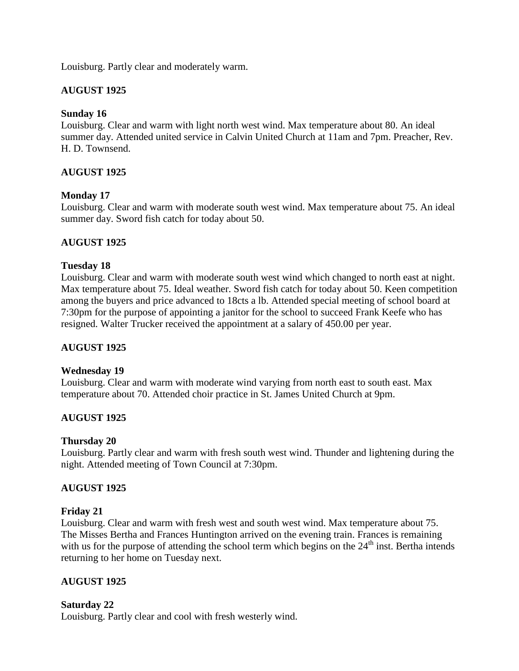Louisburg. Partly clear and moderately warm.

### **AUGUST 1925**

### **Sunday 16**

Louisburg. Clear and warm with light north west wind. Max temperature about 80. An ideal summer day. Attended united service in Calvin United Church at 11am and 7pm. Preacher, Rev. H. D. Townsend.

### **AUGUST 1925**

### **Monday 17**

Louisburg. Clear and warm with moderate south west wind. Max temperature about 75. An ideal summer day. Sword fish catch for today about 50.

# **AUGUST 1925**

### **Tuesday 18**

Louisburg. Clear and warm with moderate south west wind which changed to north east at night. Max temperature about 75. Ideal weather. Sword fish catch for today about 50. Keen competition among the buyers and price advanced to 18cts a lb. Attended special meeting of school board at 7:30pm for the purpose of appointing a janitor for the school to succeed Frank Keefe who has resigned. Walter Trucker received the appointment at a salary of 450.00 per year.

### **AUGUST 1925**

### **Wednesday 19**

Louisburg. Clear and warm with moderate wind varying from north east to south east. Max temperature about 70. Attended choir practice in St. James United Church at 9pm.

# **AUGUST 1925**

### **Thursday 20**

Louisburg. Partly clear and warm with fresh south west wind. Thunder and lightening during the night. Attended meeting of Town Council at 7:30pm.

### **AUGUST 1925**

### **Friday 21**

Louisburg. Clear and warm with fresh west and south west wind. Max temperature about 75. The Misses Bertha and Frances Huntington arrived on the evening train. Frances is remaining with us for the purpose of attending the school term which begins on the  $24<sup>th</sup>$  inst. Bertha intends returning to her home on Tuesday next.

# **AUGUST 1925**

### **Saturday 22**

Louisburg. Partly clear and cool with fresh westerly wind.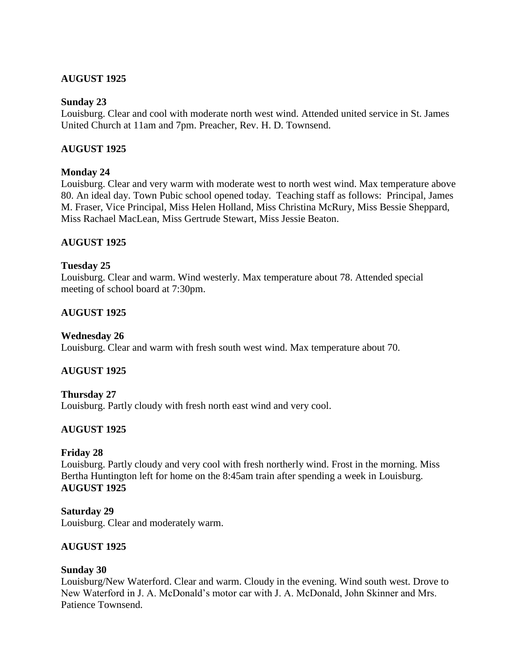### **AUGUST 1925**

#### **Sunday 23**

Louisburg. Clear and cool with moderate north west wind. Attended united service in St. James United Church at 11am and 7pm. Preacher, Rev. H. D. Townsend.

### **AUGUST 1925**

### **Monday 24**

Louisburg. Clear and very warm with moderate west to north west wind. Max temperature above 80. An ideal day. Town Pubic school opened today. Teaching staff as follows: Principal, James M. Fraser, Vice Principal, Miss Helen Holland, Miss Christina McRury, Miss Bessie Sheppard, Miss Rachael MacLean, Miss Gertrude Stewart, Miss Jessie Beaton.

### **AUGUST 1925**

### **Tuesday 25**

Louisburg. Clear and warm. Wind westerly. Max temperature about 78. Attended special meeting of school board at 7:30pm.

### **AUGUST 1925**

#### **Wednesday 26**

Louisburg. Clear and warm with fresh south west wind. Max temperature about 70.

### **AUGUST 1925**

#### **Thursday 27**

Louisburg. Partly cloudy with fresh north east wind and very cool.

### **AUGUST 1925**

#### **Friday 28**

Louisburg. Partly cloudy and very cool with fresh northerly wind. Frost in the morning. Miss Bertha Huntington left for home on the 8:45am train after spending a week in Louisburg. **AUGUST 1925**

# **Saturday 29**

Louisburg. Clear and moderately warm.

### **AUGUST 1925**

### **Sunday 30**

Louisburg/New Waterford. Clear and warm. Cloudy in the evening. Wind south west. Drove to New Waterford in J. A. McDonald's motor car with J. A. McDonald, John Skinner and Mrs. Patience Townsend.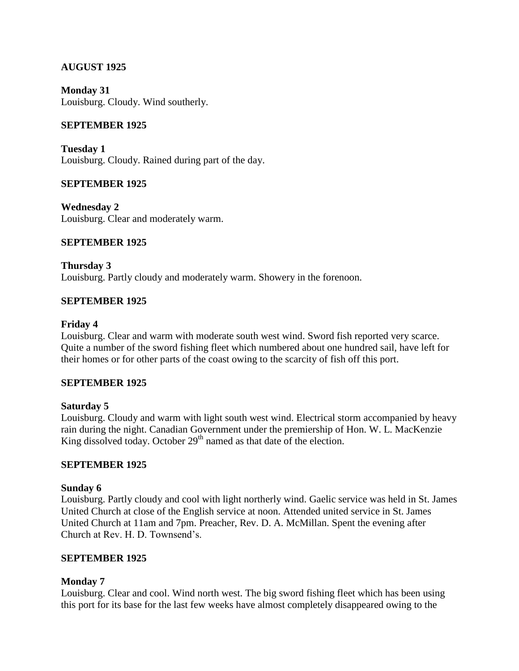### **AUGUST 1925**

**Monday 31** Louisburg. Cloudy. Wind southerly.

### **SEPTEMBER 1925**

**Tuesday 1** Louisburg. Cloudy. Rained during part of the day.

### **SEPTEMBER 1925**

**Wednesday 2** Louisburg. Clear and moderately warm.

### **SEPTEMBER 1925**

**Thursday 3** Louisburg. Partly cloudy and moderately warm. Showery in the forenoon.

### **SEPTEMBER 1925**

#### **Friday 4**

Louisburg. Clear and warm with moderate south west wind. Sword fish reported very scarce. Quite a number of the sword fishing fleet which numbered about one hundred sail, have left for their homes or for other parts of the coast owing to the scarcity of fish off this port.

### **SEPTEMBER 1925**

### **Saturday 5**

Louisburg. Cloudy and warm with light south west wind. Electrical storm accompanied by heavy rain during the night. Canadian Government under the premiership of Hon. W. L. MacKenzie King dissolved today. October  $29<sup>th</sup>$  named as that date of the election.

### **SEPTEMBER 1925**

### **Sunday 6**

Louisburg. Partly cloudy and cool with light northerly wind. Gaelic service was held in St. James United Church at close of the English service at noon. Attended united service in St. James United Church at 11am and 7pm. Preacher, Rev. D. A. McMillan. Spent the evening after Church at Rev. H. D. Townsend's.

### **SEPTEMBER 1925**

### **Monday 7**

Louisburg. Clear and cool. Wind north west. The big sword fishing fleet which has been using this port for its base for the last few weeks have almost completely disappeared owing to the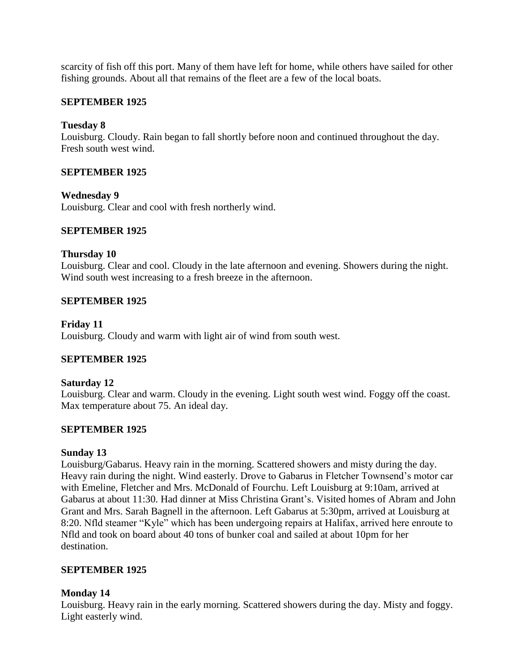scarcity of fish off this port. Many of them have left for home, while others have sailed for other fishing grounds. About all that remains of the fleet are a few of the local boats.

### **SEPTEMBER 1925**

### **Tuesday 8**

Louisburg. Cloudy. Rain began to fall shortly before noon and continued throughout the day. Fresh south west wind.

### **SEPTEMBER 1925**

### **Wednesday 9**

Louisburg. Clear and cool with fresh northerly wind.

### **SEPTEMBER 1925**

### **Thursday 10**

Louisburg. Clear and cool. Cloudy in the late afternoon and evening. Showers during the night. Wind south west increasing to a fresh breeze in the afternoon.

### **SEPTEMBER 1925**

**Friday 11** Louisburg. Cloudy and warm with light air of wind from south west.

# **SEPTEMBER 1925**

### **Saturday 12**

Louisburg. Clear and warm. Cloudy in the evening. Light south west wind. Foggy off the coast. Max temperature about 75. An ideal day.

### **SEPTEMBER 1925**

### **Sunday 13**

Louisburg/Gabarus. Heavy rain in the morning. Scattered showers and misty during the day. Heavy rain during the night. Wind easterly. Drove to Gabarus in Fletcher Townsend's motor car with Emeline, Fletcher and Mrs. McDonald of Fourchu. Left Louisburg at 9:10am, arrived at Gabarus at about 11:30. Had dinner at Miss Christina Grant's. Visited homes of Abram and John Grant and Mrs. Sarah Bagnell in the afternoon. Left Gabarus at 5:30pm, arrived at Louisburg at 8:20. Nfld steamer "Kyle" which has been undergoing repairs at Halifax, arrived here enroute to Nfld and took on board about 40 tons of bunker coal and sailed at about 10pm for her destination.

### **SEPTEMBER 1925**

### **Monday 14**

Louisburg. Heavy rain in the early morning. Scattered showers during the day. Misty and foggy. Light easterly wind.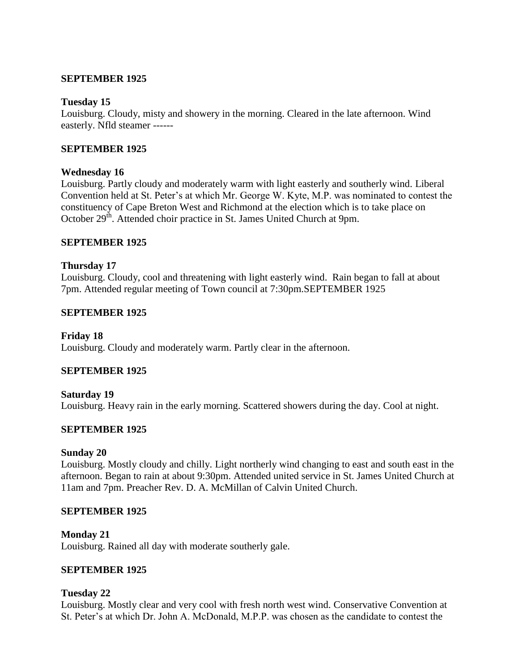#### **SEPTEMBER 1925**

#### **Tuesday 15**

Louisburg. Cloudy, misty and showery in the morning. Cleared in the late afternoon. Wind easterly. Nfld steamer ------

### **SEPTEMBER 1925**

#### **Wednesday 16**

Louisburg. Partly cloudy and moderately warm with light easterly and southerly wind. Liberal Convention held at St. Peter's at which Mr. George W. Kyte, M.P. was nominated to contest the constituency of Cape Breton West and Richmond at the election which is to take place on October 29<sup>th</sup>. Attended choir practice in St. James United Church at 9pm.

### **SEPTEMBER 1925**

### **Thursday 17**

Louisburg. Cloudy, cool and threatening with light easterly wind. Rain began to fall at about 7pm. Attended regular meeting of Town council at 7:30pm.SEPTEMBER 1925

### **SEPTEMBER 1925**

#### **Friday 18**

Louisburg. Cloudy and moderately warm. Partly clear in the afternoon.

#### **SEPTEMBER 1925**

**Saturday 19** Louisburg. Heavy rain in the early morning. Scattered showers during the day. Cool at night.

### **SEPTEMBER 1925**

#### **Sunday 20**

Louisburg. Mostly cloudy and chilly. Light northerly wind changing to east and south east in the afternoon. Began to rain at about 9:30pm. Attended united service in St. James United Church at 11am and 7pm. Preacher Rev. D. A. McMillan of Calvin United Church.

#### **SEPTEMBER 1925**

#### **Monday 21**

Louisburg. Rained all day with moderate southerly gale.

#### **SEPTEMBER 1925**

### **Tuesday 22**

Louisburg. Mostly clear and very cool with fresh north west wind. Conservative Convention at St. Peter's at which Dr. John A. McDonald, M.P.P. was chosen as the candidate to contest the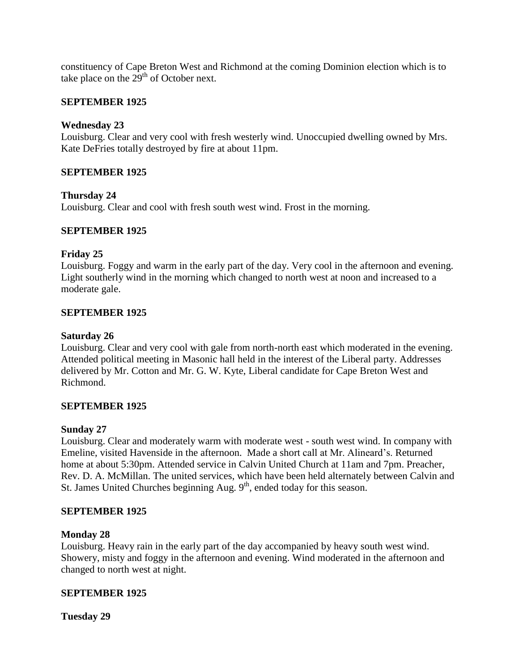constituency of Cape Breton West and Richmond at the coming Dominion election which is to take place on the  $29<sup>th</sup>$  of October next.

### **SEPTEMBER 1925**

### **Wednesday 23**

Louisburg. Clear and very cool with fresh westerly wind. Unoccupied dwelling owned by Mrs. Kate DeFries totally destroyed by fire at about 11pm.

### **SEPTEMBER 1925**

### **Thursday 24**

Louisburg. Clear and cool with fresh south west wind. Frost in the morning.

### **SEPTEMBER 1925**

### **Friday 25**

Louisburg. Foggy and warm in the early part of the day. Very cool in the afternoon and evening. Light southerly wind in the morning which changed to north west at noon and increased to a moderate gale.

### **SEPTEMBER 1925**

### **Saturday 26**

Louisburg. Clear and very cool with gale from north-north east which moderated in the evening. Attended political meeting in Masonic hall held in the interest of the Liberal party. Addresses delivered by Mr. Cotton and Mr. G. W. Kyte, Liberal candidate for Cape Breton West and Richmond.

### **SEPTEMBER 1925**

### **Sunday 27**

Louisburg. Clear and moderately warm with moderate west - south west wind. In company with Emeline, visited Havenside in the afternoon. Made a short call at Mr. Alineard's. Returned home at about 5:30pm. Attended service in Calvin United Church at 11am and 7pm. Preacher, Rev. D. A. McMillan. The united services, which have been held alternately between Calvin and St. James United Churches beginning Aug. 9<sup>th</sup>, ended today for this season.

### **SEPTEMBER 1925**

### **Monday 28**

Louisburg. Heavy rain in the early part of the day accompanied by heavy south west wind. Showery, misty and foggy in the afternoon and evening. Wind moderated in the afternoon and changed to north west at night.

### **SEPTEMBER 1925**

**Tuesday 29**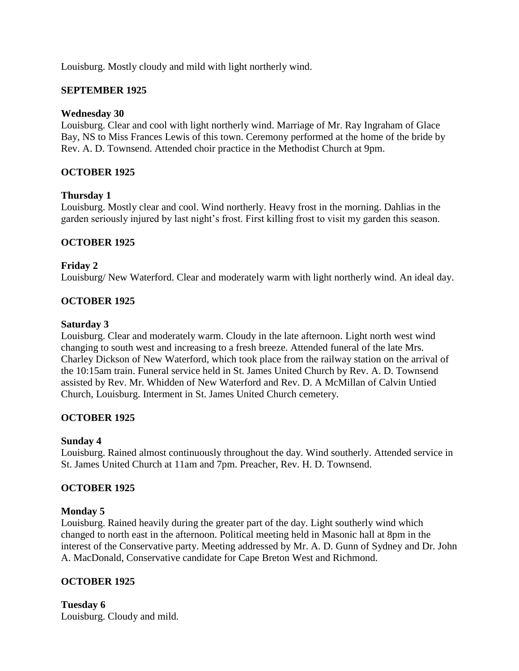Louisburg. Mostly cloudy and mild with light northerly wind.

### **SEPTEMBER 1925**

### **Wednesday 30**

Louisburg. Clear and cool with light northerly wind. Marriage of Mr. Ray Ingraham of Glace Bay, NS to Miss Frances Lewis of this town. Ceremony performed at the home of the bride by Rev. A. D. Townsend. Attended choir practice in the Methodist Church at 9pm.

# **OCTOBER 1925**

### **Thursday 1**

Louisburg. Mostly clear and cool. Wind northerly. Heavy frost in the morning. Dahlias in the garden seriously injured by last night's frost. First killing frost to visit my garden this season.

### **OCTOBER 1925**

### **Friday 2**

Louisburg/ New Waterford. Clear and moderately warm with light northerly wind. An ideal day.

### **OCTOBER 1925**

### **Saturday 3**

Louisburg. Clear and moderately warm. Cloudy in the late afternoon. Light north west wind changing to south west and increasing to a fresh breeze. Attended funeral of the late Mrs. Charley Dickson of New Waterford, which took place from the railway station on the arrival of the 10:15am train. Funeral service held in St. James United Church by Rev. A. D. Townsend assisted by Rev. Mr. Whidden of New Waterford and Rev. D. A McMillan of Calvin Untied Church, Louisburg. Interment in St. James United Church cemetery.

# **OCTOBER 1925**

### **Sunday 4**

Louisburg. Rained almost continuously throughout the day. Wind southerly. Attended service in St. James United Church at 11am and 7pm. Preacher, Rev. H. D. Townsend.

### **OCTOBER 1925**

### **Monday 5**

Louisburg. Rained heavily during the greater part of the day. Light southerly wind which changed to north east in the afternoon. Political meeting held in Masonic hall at 8pm in the interest of the Conservative party. Meeting addressed by Mr. A. D. Gunn of Sydney and Dr. John A. MacDonald, Conservative candidate for Cape Breton West and Richmond.

# **OCTOBER 1925**

**Tuesday 6** Louisburg. Cloudy and mild.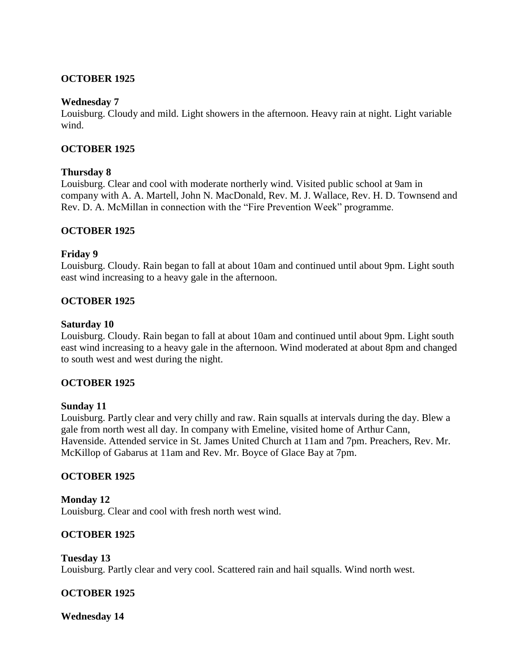### **OCTOBER 1925**

#### **Wednesday 7**

Louisburg. Cloudy and mild. Light showers in the afternoon. Heavy rain at night. Light variable wind.

### **OCTOBER 1925**

#### **Thursday 8**

Louisburg. Clear and cool with moderate northerly wind. Visited public school at 9am in company with A. A. Martell, John N. MacDonald, Rev. M. J. Wallace, Rev. H. D. Townsend and Rev. D. A. McMillan in connection with the "Fire Prevention Week" programme.

#### **OCTOBER 1925**

#### **Friday 9**

Louisburg. Cloudy. Rain began to fall at about 10am and continued until about 9pm. Light south east wind increasing to a heavy gale in the afternoon.

#### **OCTOBER 1925**

#### **Saturday 10**

Louisburg. Cloudy. Rain began to fall at about 10am and continued until about 9pm. Light south east wind increasing to a heavy gale in the afternoon. Wind moderated at about 8pm and changed to south west and west during the night.

### **OCTOBER 1925**

#### **Sunday 11**

Louisburg. Partly clear and very chilly and raw. Rain squalls at intervals during the day. Blew a gale from north west all day. In company with Emeline, visited home of Arthur Cann, Havenside. Attended service in St. James United Church at 11am and 7pm. Preachers, Rev. Mr. McKillop of Gabarus at 11am and Rev. Mr. Boyce of Glace Bay at 7pm.

### **OCTOBER 1925**

**Monday 12** Louisburg. Clear and cool with fresh north west wind.

### **OCTOBER 1925**

**Tuesday 13** Louisburg. Partly clear and very cool. Scattered rain and hail squalls. Wind north west.

### **OCTOBER 1925**

**Wednesday 14**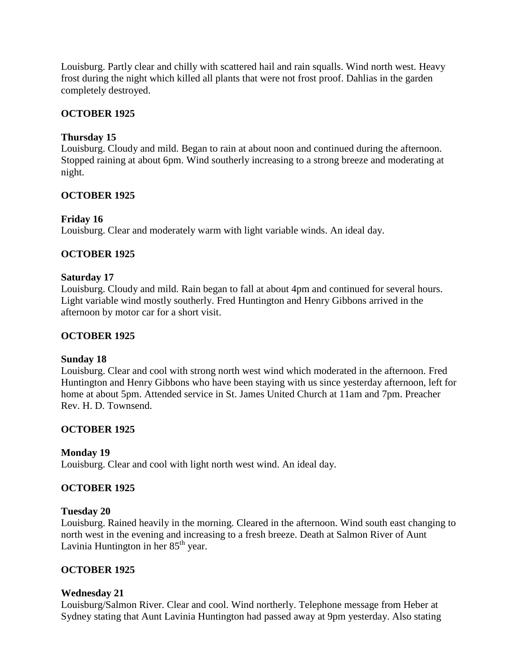Louisburg. Partly clear and chilly with scattered hail and rain squalls. Wind north west. Heavy frost during the night which killed all plants that were not frost proof. Dahlias in the garden completely destroyed.

### **OCTOBER 1925**

### **Thursday 15**

Louisburg. Cloudy and mild. Began to rain at about noon and continued during the afternoon. Stopped raining at about 6pm. Wind southerly increasing to a strong breeze and moderating at night.

### **OCTOBER 1925**

### **Friday 16**

Louisburg. Clear and moderately warm with light variable winds. An ideal day.

### **OCTOBER 1925**

### **Saturday 17**

Louisburg. Cloudy and mild. Rain began to fall at about 4pm and continued for several hours. Light variable wind mostly southerly. Fred Huntington and Henry Gibbons arrived in the afternoon by motor car for a short visit.

### **OCTOBER 1925**

### **Sunday 18**

Louisburg. Clear and cool with strong north west wind which moderated in the afternoon. Fred Huntington and Henry Gibbons who have been staying with us since yesterday afternoon, left for home at about 5pm. Attended service in St. James United Church at 11am and 7pm. Preacher Rev. H. D. Townsend.

# **OCTOBER 1925**

### **Monday 19**

Louisburg. Clear and cool with light north west wind. An ideal day.

### **OCTOBER 1925**

### **Tuesday 20**

Louisburg. Rained heavily in the morning. Cleared in the afternoon. Wind south east changing to north west in the evening and increasing to a fresh breeze. Death at Salmon River of Aunt Lavinia Huntington in her  $85<sup>th</sup>$  year.

### **OCTOBER 1925**

### **Wednesday 21**

Louisburg/Salmon River. Clear and cool. Wind northerly. Telephone message from Heber at Sydney stating that Aunt Lavinia Huntington had passed away at 9pm yesterday. Also stating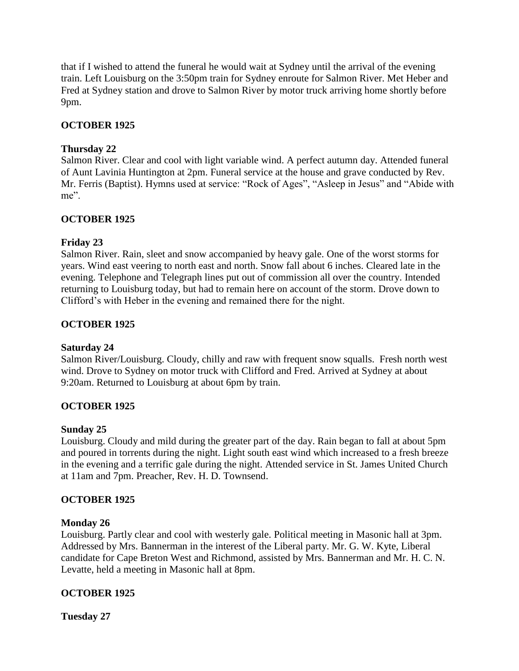that if I wished to attend the funeral he would wait at Sydney until the arrival of the evening train. Left Louisburg on the 3:50pm train for Sydney enroute for Salmon River. Met Heber and Fred at Sydney station and drove to Salmon River by motor truck arriving home shortly before 9pm.

# **OCTOBER 1925**

### **Thursday 22**

Salmon River. Clear and cool with light variable wind. A perfect autumn day. Attended funeral of Aunt Lavinia Huntington at 2pm. Funeral service at the house and grave conducted by Rev. Mr. Ferris (Baptist). Hymns used at service: "Rock of Ages", "Asleep in Jesus" and "Abide with me".

### **OCTOBER 1925**

### **Friday 23**

Salmon River. Rain, sleet and snow accompanied by heavy gale. One of the worst storms for years. Wind east veering to north east and north. Snow fall about 6 inches. Cleared late in the evening. Telephone and Telegraph lines put out of commission all over the country. Intended returning to Louisburg today, but had to remain here on account of the storm. Drove down to Clifford's with Heber in the evening and remained there for the night.

### **OCTOBER 1925**

### **Saturday 24**

Salmon River/Louisburg. Cloudy, chilly and raw with frequent snow squalls. Fresh north west wind. Drove to Sydney on motor truck with Clifford and Fred. Arrived at Sydney at about 9:20am. Returned to Louisburg at about 6pm by train.

# **OCTOBER 1925**

### **Sunday 25**

Louisburg. Cloudy and mild during the greater part of the day. Rain began to fall at about 5pm and poured in torrents during the night. Light south east wind which increased to a fresh breeze in the evening and a terrific gale during the night. Attended service in St. James United Church at 11am and 7pm. Preacher, Rev. H. D. Townsend.

### **OCTOBER 1925**

### **Monday 26**

Louisburg. Partly clear and cool with westerly gale. Political meeting in Masonic hall at 3pm. Addressed by Mrs. Bannerman in the interest of the Liberal party. Mr. G. W. Kyte, Liberal candidate for Cape Breton West and Richmond, assisted by Mrs. Bannerman and Mr. H. C. N. Levatte, held a meeting in Masonic hall at 8pm.

# **OCTOBER 1925**

**Tuesday 27**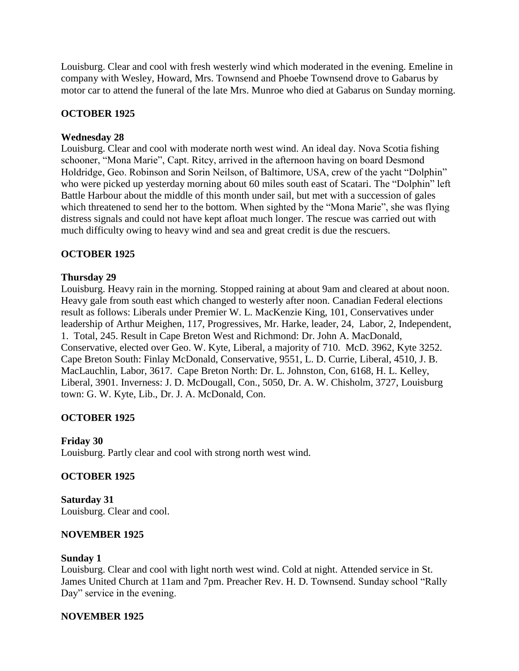Louisburg. Clear and cool with fresh westerly wind which moderated in the evening. Emeline in company with Wesley, Howard, Mrs. Townsend and Phoebe Townsend drove to Gabarus by motor car to attend the funeral of the late Mrs. Munroe who died at Gabarus on Sunday morning.

# **OCTOBER 1925**

### **Wednesday 28**

Louisburg. Clear and cool with moderate north west wind. An ideal day. Nova Scotia fishing schooner, "Mona Marie", Capt. Ritcy, arrived in the afternoon having on board Desmond Holdridge, Geo. Robinson and Sorin Neilson, of Baltimore, USA, crew of the yacht "Dolphin" who were picked up yesterday morning about 60 miles south east of Scatari. The "Dolphin" left Battle Harbour about the middle of this month under sail, but met with a succession of gales which threatened to send her to the bottom. When sighted by the "Mona Marie", she was flying distress signals and could not have kept afloat much longer. The rescue was carried out with much difficulty owing to heavy wind and sea and great credit is due the rescuers.

### **OCTOBER 1925**

### **Thursday 29**

Louisburg. Heavy rain in the morning. Stopped raining at about 9am and cleared at about noon. Heavy gale from south east which changed to westerly after noon. Canadian Federal elections result as follows: Liberals under Premier W. L. MacKenzie King, 101, Conservatives under leadership of Arthur Meighen, 117, Progressives, Mr. Harke, leader, 24, Labor, 2, Independent, 1. Total, 245. Result in Cape Breton West and Richmond: Dr. John A. MacDonald, Conservative, elected over Geo. W. Kyte, Liberal, a majority of 710. McD. 3962, Kyte 3252. Cape Breton South: Finlay McDonald, Conservative, 9551, L. D. Currie, Liberal, 4510, J. B. MacLauchlin, Labor, 3617. Cape Breton North: Dr. L. Johnston, Con, 6168, H. L. Kelley, Liberal, 3901. Inverness: J. D. McDougall, Con., 5050, Dr. A. W. Chisholm, 3727, Louisburg town: G. W. Kyte, Lib., Dr. J. A. McDonald, Con.

### **OCTOBER 1925**

#### **Friday 30**

Louisburg. Partly clear and cool with strong north west wind.

#### **OCTOBER 1925**

**Saturday 31** Louisburg. Clear and cool.

#### **NOVEMBER 1925**

#### **Sunday 1**

Louisburg. Clear and cool with light north west wind. Cold at night. Attended service in St. James United Church at 11am and 7pm. Preacher Rev. H. D. Townsend. Sunday school "Rally Day" service in the evening.

#### **NOVEMBER 1925**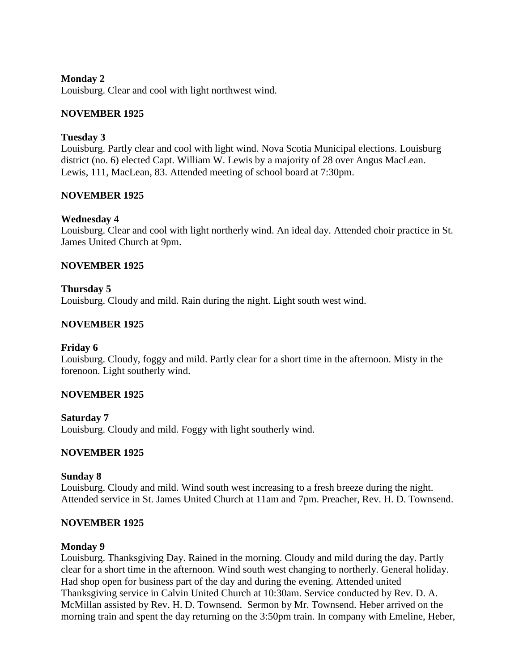### **Monday 2**

Louisburg. Clear and cool with light northwest wind.

### **NOVEMBER 1925**

### **Tuesday 3**

Louisburg. Partly clear and cool with light wind. Nova Scotia Municipal elections. Louisburg district (no. 6) elected Capt. William W. Lewis by a majority of 28 over Angus MacLean. Lewis, 111, MacLean, 83. Attended meeting of school board at 7:30pm.

### **NOVEMBER 1925**

### **Wednesday 4**

Louisburg. Clear and cool with light northerly wind. An ideal day. Attended choir practice in St. James United Church at 9pm.

### **NOVEMBER 1925**

### **Thursday 5**

Louisburg. Cloudy and mild. Rain during the night. Light south west wind.

### **NOVEMBER 1925**

### **Friday 6**

Louisburg. Cloudy, foggy and mild. Partly clear for a short time in the afternoon. Misty in the forenoon. Light southerly wind.

### **NOVEMBER 1925**

**Saturday 7** Louisburg. Cloudy and mild. Foggy with light southerly wind.

### **NOVEMBER 1925**

### **Sunday 8**

Louisburg. Cloudy and mild. Wind south west increasing to a fresh breeze during the night. Attended service in St. James United Church at 11am and 7pm. Preacher, Rev. H. D. Townsend.

### **NOVEMBER 1925**

#### **Monday 9**

Louisburg. Thanksgiving Day. Rained in the morning. Cloudy and mild during the day. Partly clear for a short time in the afternoon. Wind south west changing to northerly. General holiday. Had shop open for business part of the day and during the evening. Attended united Thanksgiving service in Calvin United Church at 10:30am. Service conducted by Rev. D. A. McMillan assisted by Rev. H. D. Townsend. Sermon by Mr. Townsend. Heber arrived on the morning train and spent the day returning on the 3:50pm train. In company with Emeline, Heber,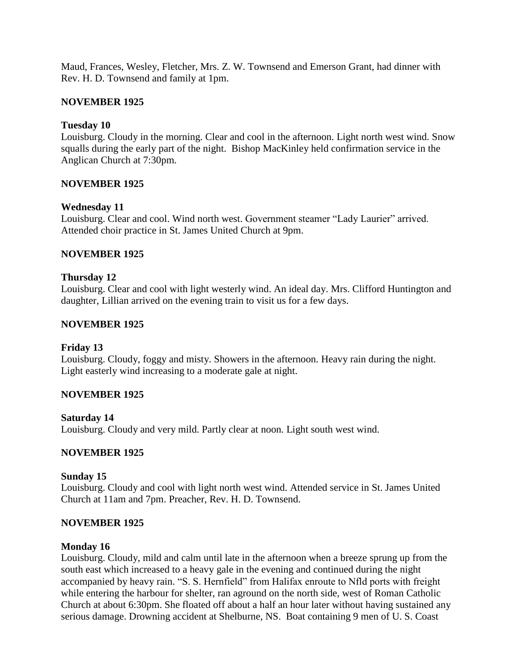Maud, Frances, Wesley, Fletcher, Mrs. Z. W. Townsend and Emerson Grant, had dinner with Rev. H. D. Townsend and family at 1pm.

### **NOVEMBER 1925**

### **Tuesday 10**

Louisburg. Cloudy in the morning. Clear and cool in the afternoon. Light north west wind. Snow squalls during the early part of the night. Bishop MacKinley held confirmation service in the Anglican Church at 7:30pm.

### **NOVEMBER 1925**

### **Wednesday 11**

Louisburg. Clear and cool. Wind north west. Government steamer "Lady Laurier" arrived. Attended choir practice in St. James United Church at 9pm.

### **NOVEMBER 1925**

### **Thursday 12**

Louisburg. Clear and cool with light westerly wind. An ideal day. Mrs. Clifford Huntington and daughter, Lillian arrived on the evening train to visit us for a few days.

### **NOVEMBER 1925**

### **Friday 13**

Louisburg. Cloudy, foggy and misty. Showers in the afternoon. Heavy rain during the night. Light easterly wind increasing to a moderate gale at night.

### **NOVEMBER 1925**

# **Saturday 14**

Louisburg. Cloudy and very mild. Partly clear at noon. Light south west wind.

### **NOVEMBER 1925**

### **Sunday 15**

Louisburg. Cloudy and cool with light north west wind. Attended service in St. James United Church at 11am and 7pm. Preacher, Rev. H. D. Townsend.

### **NOVEMBER 1925**

### **Monday 16**

Louisburg. Cloudy, mild and calm until late in the afternoon when a breeze sprung up from the south east which increased to a heavy gale in the evening and continued during the night accompanied by heavy rain. "S. S. Hernfield" from Halifax enroute to Nfld ports with freight while entering the harbour for shelter, ran aground on the north side, west of Roman Catholic Church at about 6:30pm. She floated off about a half an hour later without having sustained any serious damage. Drowning accident at Shelburne, NS. Boat containing 9 men of U. S. Coast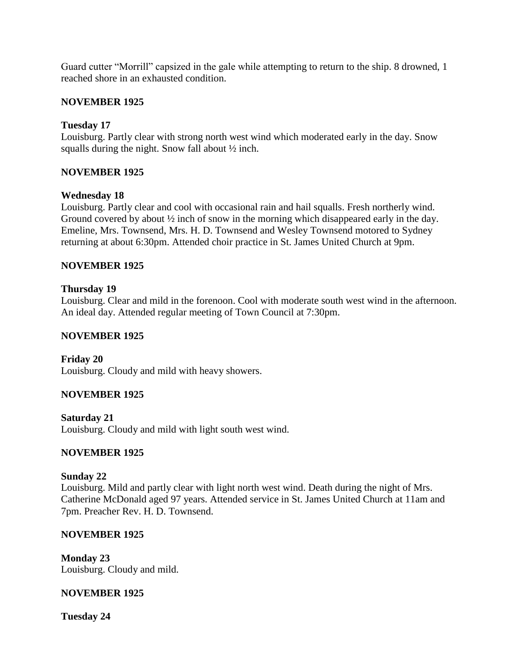Guard cutter "Morrill" capsized in the gale while attempting to return to the ship. 8 drowned, 1 reached shore in an exhausted condition.

### **NOVEMBER 1925**

### **Tuesday 17**

Louisburg. Partly clear with strong north west wind which moderated early in the day. Snow squalls during the night. Snow fall about ½ inch.

### **NOVEMBER 1925**

### **Wednesday 18**

Louisburg. Partly clear and cool with occasional rain and hail squalls. Fresh northerly wind. Ground covered by about  $\frac{1}{2}$  inch of snow in the morning which disappeared early in the day. Emeline, Mrs. Townsend, Mrs. H. D. Townsend and Wesley Townsend motored to Sydney returning at about 6:30pm. Attended choir practice in St. James United Church at 9pm.

### **NOVEMBER 1925**

### **Thursday 19**

Louisburg. Clear and mild in the forenoon. Cool with moderate south west wind in the afternoon. An ideal day. Attended regular meeting of Town Council at 7:30pm.

### **NOVEMBER 1925**

**Friday 20** Louisburg. Cloudy and mild with heavy showers.

### **NOVEMBER 1925**

**Saturday 21** Louisburg. Cloudy and mild with light south west wind.

# **NOVEMBER 1925**

### **Sunday 22**

Louisburg. Mild and partly clear with light north west wind. Death during the night of Mrs. Catherine McDonald aged 97 years. Attended service in St. James United Church at 11am and 7pm. Preacher Rev. H. D. Townsend.

### **NOVEMBER 1925**

**Monday 23** Louisburg. Cloudy and mild.

### **NOVEMBER 1925**

**Tuesday 24**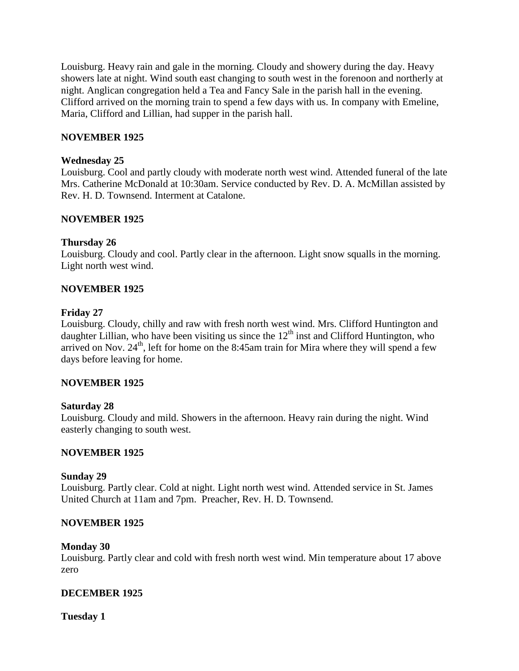Louisburg. Heavy rain and gale in the morning. Cloudy and showery during the day. Heavy showers late at night. Wind south east changing to south west in the forenoon and northerly at night. Anglican congregation held a Tea and Fancy Sale in the parish hall in the evening. Clifford arrived on the morning train to spend a few days with us. In company with Emeline, Maria, Clifford and Lillian, had supper in the parish hall.

### **NOVEMBER 1925**

### **Wednesday 25**

Louisburg. Cool and partly cloudy with moderate north west wind. Attended funeral of the late Mrs. Catherine McDonald at 10:30am. Service conducted by Rev. D. A. McMillan assisted by Rev. H. D. Townsend. Interment at Catalone.

### **NOVEMBER 1925**

### **Thursday 26**

Louisburg. Cloudy and cool. Partly clear in the afternoon. Light snow squalls in the morning. Light north west wind.

### **NOVEMBER 1925**

#### **Friday 27**

Louisburg. Cloudy, chilly and raw with fresh north west wind. Mrs. Clifford Huntington and daughter Lillian, who have been visiting us since the  $12<sup>th</sup>$  inst and Clifford Huntington, who arrived on Nov.  $24<sup>th</sup>$ , left for home on the 8:45am train for Mira where they will spend a few days before leaving for home.

### **NOVEMBER 1925**

### **Saturday 28**

Louisburg. Cloudy and mild. Showers in the afternoon. Heavy rain during the night. Wind easterly changing to south west.

### **NOVEMBER 1925**

#### **Sunday 29**

Louisburg. Partly clear. Cold at night. Light north west wind. Attended service in St. James United Church at 11am and 7pm. Preacher, Rev. H. D. Townsend.

### **NOVEMBER 1925**

#### **Monday 30**

Louisburg. Partly clear and cold with fresh north west wind. Min temperature about 17 above zero

### **DECEMBER 1925**

**Tuesday 1**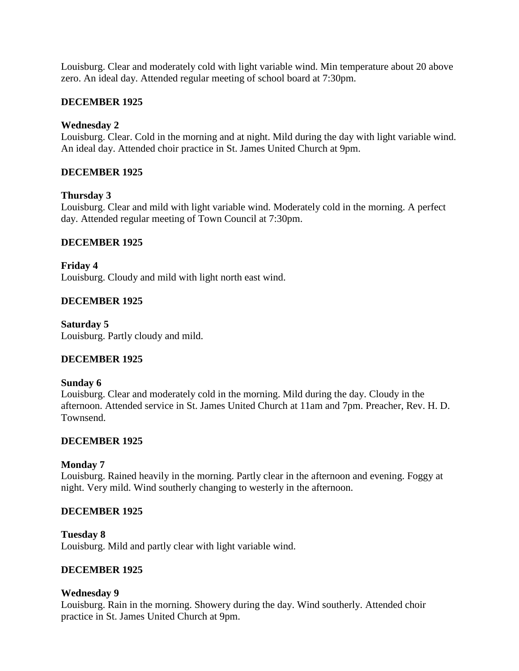Louisburg. Clear and moderately cold with light variable wind. Min temperature about 20 above zero. An ideal day. Attended regular meeting of school board at 7:30pm.

### **DECEMBER 1925**

### **Wednesday 2**

Louisburg. Clear. Cold in the morning and at night. Mild during the day with light variable wind. An ideal day. Attended choir practice in St. James United Church at 9pm.

### **DECEMBER 1925**

### **Thursday 3**

Louisburg. Clear and mild with light variable wind. Moderately cold in the morning. A perfect day. Attended regular meeting of Town Council at 7:30pm.

### **DECEMBER 1925**

**Friday 4** Louisburg. Cloudy and mild with light north east wind.

### **DECEMBER 1925**

**Saturday 5** Louisburg. Partly cloudy and mild.

### **DECEMBER 1925**

### **Sunday 6**

Louisburg. Clear and moderately cold in the morning. Mild during the day. Cloudy in the afternoon. Attended service in St. James United Church at 11am and 7pm. Preacher, Rev. H. D. Townsend.

### **DECEMBER 1925**

### **Monday 7**

Louisburg. Rained heavily in the morning. Partly clear in the afternoon and evening. Foggy at night. Very mild. Wind southerly changing to westerly in the afternoon.

### **DECEMBER 1925**

### **Tuesday 8**

Louisburg. Mild and partly clear with light variable wind.

### **DECEMBER 1925**

### **Wednesday 9**

Louisburg. Rain in the morning. Showery during the day. Wind southerly. Attended choir practice in St. James United Church at 9pm.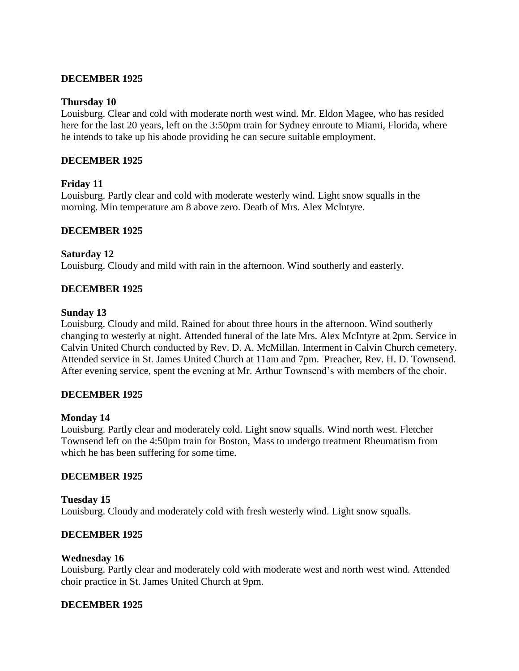### **DECEMBER 1925**

#### **Thursday 10**

Louisburg. Clear and cold with moderate north west wind. Mr. Eldon Magee, who has resided here for the last 20 years, left on the 3:50pm train for Sydney enroute to Miami, Florida, where he intends to take up his abode providing he can secure suitable employment.

### **DECEMBER 1925**

#### **Friday 11**

Louisburg. Partly clear and cold with moderate westerly wind. Light snow squalls in the morning. Min temperature am 8 above zero. Death of Mrs. Alex McIntyre.

#### **DECEMBER 1925**

#### **Saturday 12**

Louisburg. Cloudy and mild with rain in the afternoon. Wind southerly and easterly.

#### **DECEMBER 1925**

#### **Sunday 13**

Louisburg. Cloudy and mild. Rained for about three hours in the afternoon. Wind southerly changing to westerly at night. Attended funeral of the late Mrs. Alex McIntyre at 2pm. Service in Calvin United Church conducted by Rev. D. A. McMillan. Interment in Calvin Church cemetery. Attended service in St. James United Church at 11am and 7pm. Preacher, Rev. H. D. Townsend. After evening service, spent the evening at Mr. Arthur Townsend's with members of the choir.

### **DECEMBER 1925**

#### **Monday 14**

Louisburg. Partly clear and moderately cold. Light snow squalls. Wind north west. Fletcher Townsend left on the 4:50pm train for Boston, Mass to undergo treatment Rheumatism from which he has been suffering for some time.

### **DECEMBER 1925**

**Tuesday 15** Louisburg. Cloudy and moderately cold with fresh westerly wind. Light snow squalls.

#### **DECEMBER 1925**

### **Wednesday 16**

Louisburg. Partly clear and moderately cold with moderate west and north west wind. Attended choir practice in St. James United Church at 9pm.

#### **DECEMBER 1925**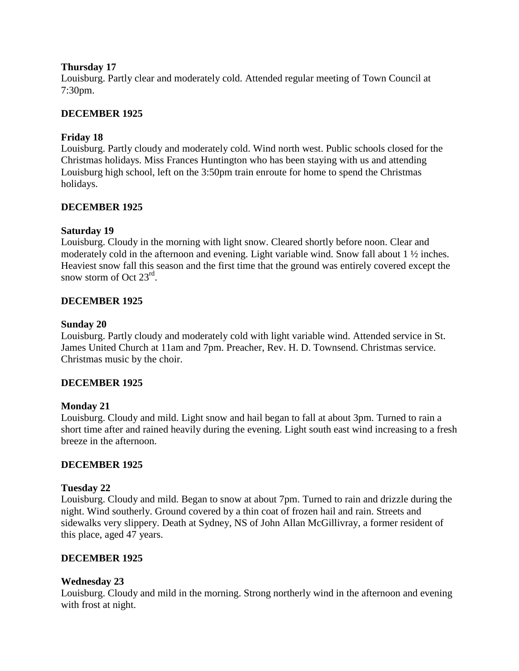### **Thursday 17**

Louisburg. Partly clear and moderately cold. Attended regular meeting of Town Council at 7:30pm.

### **DECEMBER 1925**

### **Friday 18**

Louisburg. Partly cloudy and moderately cold. Wind north west. Public schools closed for the Christmas holidays. Miss Frances Huntington who has been staying with us and attending Louisburg high school, left on the 3:50pm train enroute for home to spend the Christmas holidays.

### **DECEMBER 1925**

### **Saturday 19**

Louisburg. Cloudy in the morning with light snow. Cleared shortly before noon. Clear and moderately cold in the afternoon and evening. Light variable wind. Snow fall about 1 ½ inches. Heaviest snow fall this season and the first time that the ground was entirely covered except the snow storm of Oct 23<sup>rd</sup>.

### **DECEMBER 1925**

### **Sunday 20**

Louisburg. Partly cloudy and moderately cold with light variable wind. Attended service in St. James United Church at 11am and 7pm. Preacher, Rev. H. D. Townsend. Christmas service. Christmas music by the choir.

### **DECEMBER 1925**

### **Monday 21**

Louisburg. Cloudy and mild. Light snow and hail began to fall at about 3pm. Turned to rain a short time after and rained heavily during the evening. Light south east wind increasing to a fresh breeze in the afternoon.

### **DECEMBER 1925**

### **Tuesday 22**

Louisburg. Cloudy and mild. Began to snow at about 7pm. Turned to rain and drizzle during the night. Wind southerly. Ground covered by a thin coat of frozen hail and rain. Streets and sidewalks very slippery. Death at Sydney, NS of John Allan McGillivray, a former resident of this place, aged 47 years.

### **DECEMBER 1925**

### **Wednesday 23**

Louisburg. Cloudy and mild in the morning. Strong northerly wind in the afternoon and evening with frost at night.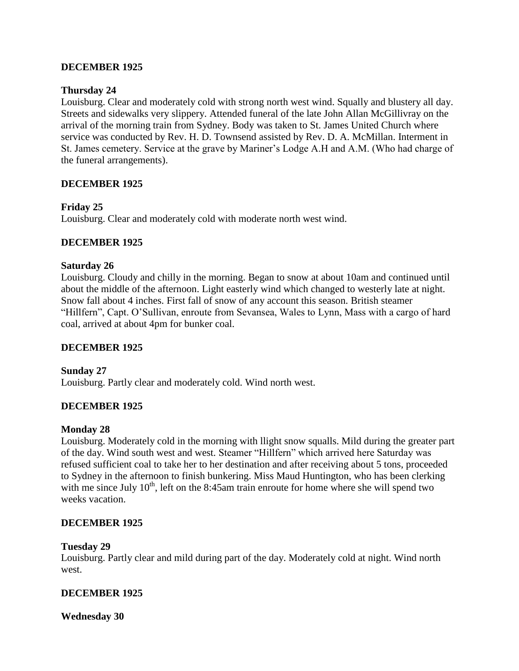### **DECEMBER 1925**

### **Thursday 24**

Louisburg. Clear and moderately cold with strong north west wind. Squally and blustery all day. Streets and sidewalks very slippery. Attended funeral of the late John Allan McGillivray on the arrival of the morning train from Sydney. Body was taken to St. James United Church where service was conducted by Rev. H. D. Townsend assisted by Rev. D. A. McMillan. Interment in St. James cemetery. Service at the grave by Mariner's Lodge A.H and A.M. (Who had charge of the funeral arrangements).

### **DECEMBER 1925**

### **Friday 25**

Louisburg. Clear and moderately cold with moderate north west wind.

### **DECEMBER 1925**

### **Saturday 26**

Louisburg. Cloudy and chilly in the morning. Began to snow at about 10am and continued until about the middle of the afternoon. Light easterly wind which changed to westerly late at night. Snow fall about 4 inches. First fall of snow of any account this season. British steamer "Hillfern", Capt. O'Sullivan, enroute from Sevansea, Wales to Lynn, Mass with a cargo of hard coal, arrived at about 4pm for bunker coal.

### **DECEMBER 1925**

**Sunday 27** Louisburg. Partly clear and moderately cold. Wind north west.

### **DECEMBER 1925**

#### **Monday 28**

Louisburg. Moderately cold in the morning with llight snow squalls. Mild during the greater part of the day. Wind south west and west. Steamer "Hillfern" which arrived here Saturday was refused sufficient coal to take her to her destination and after receiving about 5 tons, proceeded to Sydney in the afternoon to finish bunkering. Miss Maud Huntington, who has been clerking with me since July  $10<sup>th</sup>$ , left on the 8:45am train enroute for home where she will spend two weeks vacation.

### **DECEMBER 1925**

#### **Tuesday 29**

Louisburg. Partly clear and mild during part of the day. Moderately cold at night. Wind north west.

### **DECEMBER 1925**

**Wednesday 30**